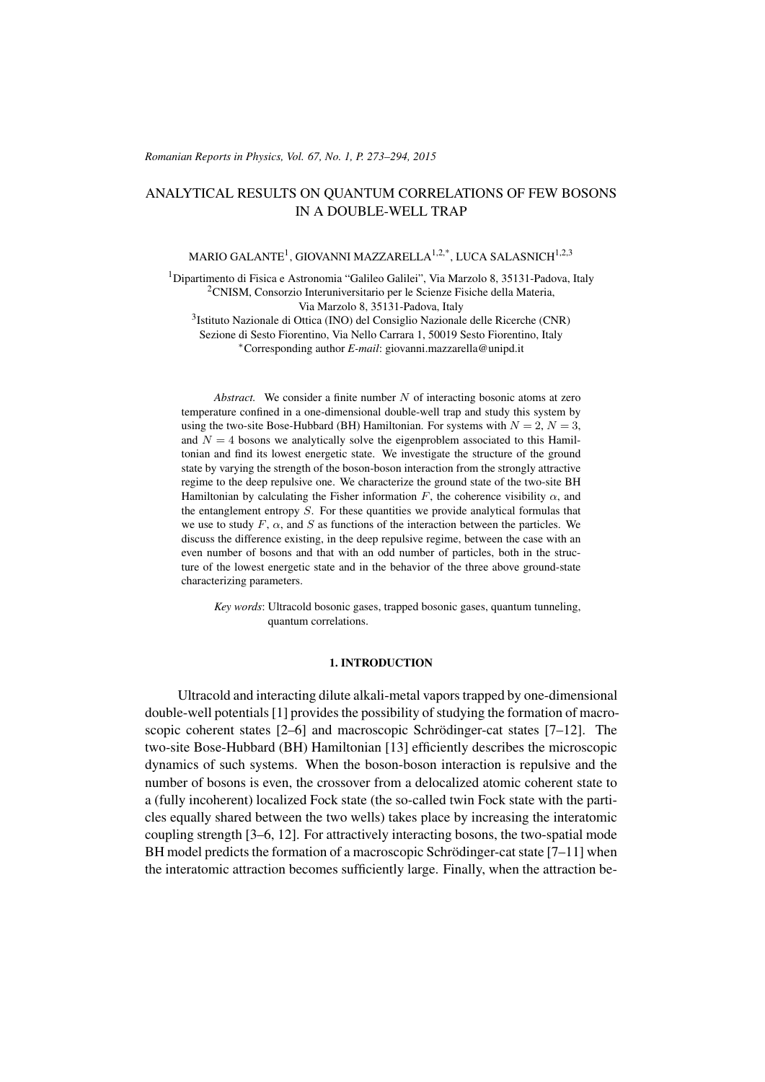#### *Romanian Reports in Physics, Vol. 67, No. 1, P. 273–294, 2015*

# ANALYTICAL RESULTS ON QUANTUM CORRELATIONS OF FEW BOSONS IN A DOUBLE-WELL TRAP

## MARIO GALANTE $^{\rm l}$ , GIOVANNI MAZZARELLA $^{\rm l,2,*}$ , LUCA SALASNICH $^{\rm l,2,3}$

<sup>1</sup>Dipartimento di Fisica e Astronomia "Galileo Galilei", Via Marzolo 8, 35131-Padova, Italy <sup>2</sup>CNISM, Consorzio Interuniversitario per le Scienze Fisiche della Materia, Via Marzolo 8, 35131-Padova, Italy

3 Istituto Nazionale di Ottica (INO) del Consiglio Nazionale delle Ricerche (CNR) Sezione di Sesto Fiorentino, Via Nello Carrara 1, 50019 Sesto Fiorentino, Italy <sup>∗</sup>Corresponding author *E-mail*: giovanni.mazzarella@unipd.it

*Abstract.* We consider a finite number N of interacting bosonic atoms at zero temperature confined in a one-dimensional double-well trap and study this system by using the two-site Bose-Hubbard (BH) Hamiltonian. For systems with  $N = 2$ ,  $N = 3$ , and  $N = 4$  bosons we analytically solve the eigenproblem associated to this Hamiltonian and find its lowest energetic state. We investigate the structure of the ground state by varying the strength of the boson-boson interaction from the strongly attractive regime to the deep repulsive one. We characterize the ground state of the two-site BH Hamiltonian by calculating the Fisher information F, the coherence visibility  $\alpha$ , and the entanglement entropy  $S$ . For these quantities we provide analytical formulas that we use to study  $F$ ,  $\alpha$ , and  $S$  as functions of the interaction between the particles. We discuss the difference existing, in the deep repulsive regime, between the case with an even number of bosons and that with an odd number of particles, both in the structure of the lowest energetic state and in the behavior of the three above ground-state characterizing parameters.

*Key words*: Ultracold bosonic gases, trapped bosonic gases, quantum tunneling, quantum correlations.

### 1. INTRODUCTION

Ultracold and interacting dilute alkali-metal vapors trapped by one-dimensional double-well potentials [\[1\]](#page-20-0) provides the possibility of studying the formation of macroscopic coherent states  $[2-6]$  $[2-6]$  and macroscopic Schrödinger-cat states  $[7-12]$  $[7-12]$ . The two-site Bose-Hubbard (BH) Hamiltonian [\[13\]](#page-20-5) efficiently describes the microscopic dynamics of such systems. When the boson-boson interaction is repulsive and the number of bosons is even, the crossover from a delocalized atomic coherent state to a (fully incoherent) localized Fock state (the so-called twin Fock state with the particles equally shared between the two wells) takes place by increasing the interatomic coupling strength [\[3–](#page-20-6)[6,](#page-20-2) [12\]](#page-20-4). For attractively interacting bosons, the two-spatial mode BH model predicts the formation of a macroscopic Schrödinger-cat state  $[7-11]$  $[7-11]$  when the interatomic attraction becomes sufficiently large. Finally, when the attraction be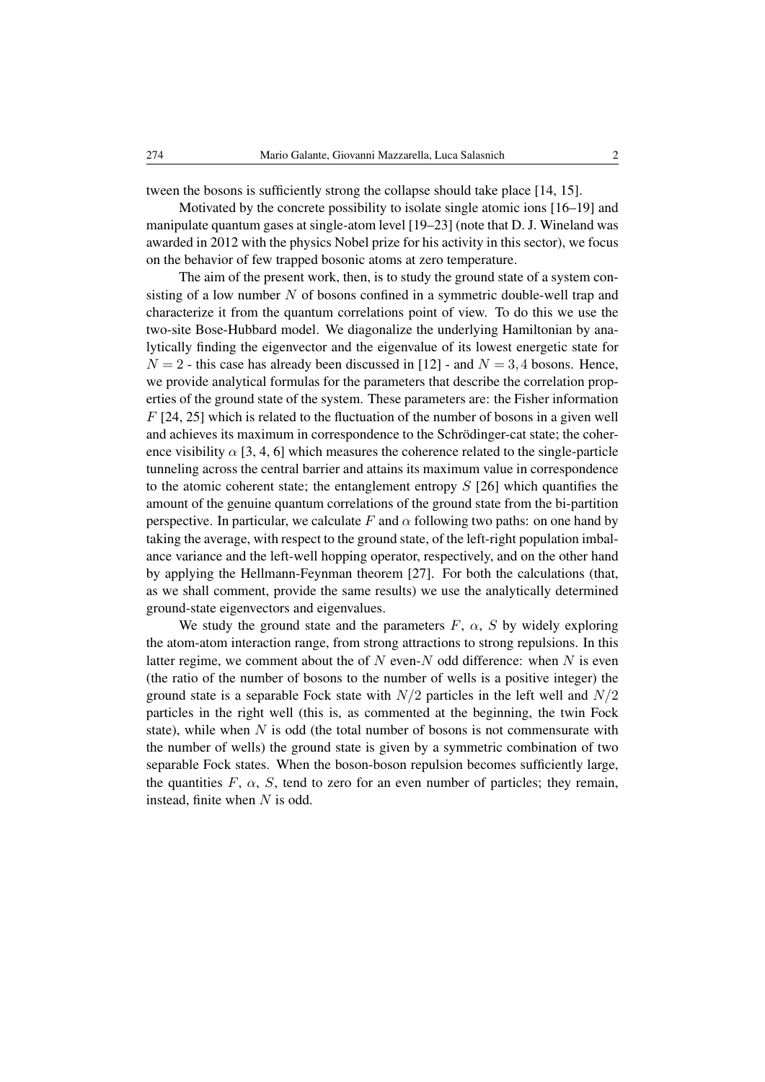tween the bosons is sufficiently strong the collapse should take place [\[14,](#page-20-8) [15\]](#page-20-9).

Motivated by the concrete possibility to isolate single atomic ions [\[16](#page-20-10)[–19\]](#page-20-11) and manipulate quantum gases at single-atom level [\[19–](#page-20-11)[23\]](#page-20-12) (note that D. J. Wineland was awarded in 2012 with the physics Nobel prize for his activity in this sector), we focus on the behavior of few trapped bosonic atoms at zero temperature.

The aim of the present work, then, is to study the ground state of a system consisting of a low number  $N$  of bosons confined in a symmetric double-well trap and characterize it from the quantum correlations point of view. To do this we use the two-site Bose-Hubbard model. We diagonalize the underlying Hamiltonian by analytically finding the eigenvector and the eigenvalue of its lowest energetic state for  $N = 2$  - this case has already been discussed in [\[12\]](#page-20-4) - and  $N = 3.4$  bosons. Hence, we provide analytical formulas for the parameters that describe the correlation properties of the ground state of the system. These parameters are: the Fisher information  $F$  [\[24,](#page-20-13) [25\]](#page-21-0) which is related to the fluctuation of the number of bosons in a given well and achieves its maximum in correspondence to the Schrödinger-cat state; the coherence visibility  $\alpha$  [\[3,](#page-20-6) [4,](#page-20-14) [6\]](#page-20-2) which measures the coherence related to the single-particle tunneling across the central barrier and attains its maximum value in correspondence to the atomic coherent state; the entanglement entropy  $S$  [\[26\]](#page-21-1) which quantifies the amount of the genuine quantum correlations of the ground state from the bi-partition perspective. In particular, we calculate F and  $\alpha$  following two paths: on one hand by taking the average, with respect to the ground state, of the left-right population imbalance variance and the left-well hopping operator, respectively, and on the other hand by applying the Hellmann-Feynman theorem [\[27\]](#page-21-2). For both the calculations (that, as we shall comment, provide the same results) we use the analytically determined ground-state eigenvectors and eigenvalues.

We study the ground state and the parameters  $F$ ,  $\alpha$ ,  $S$  by widely exploring the atom-atom interaction range, from strong attractions to strong repulsions. In this latter regime, we comment about the of  $N$  even- $N$  odd difference: when  $N$  is even (the ratio of the number of bosons to the number of wells is a positive integer) the ground state is a separable Fock state with  $N/2$  particles in the left well and  $N/2$ particles in the right well (this is, as commented at the beginning, the twin Fock state), while when  $N$  is odd (the total number of bosons is not commensurate with the number of wells) the ground state is given by a symmetric combination of two separable Fock states. When the boson-boson repulsion becomes sufficiently large, the quantities  $F$ ,  $\alpha$ ,  $S$ , tend to zero for an even number of particles; they remain, instead, finite when  $N$  is odd.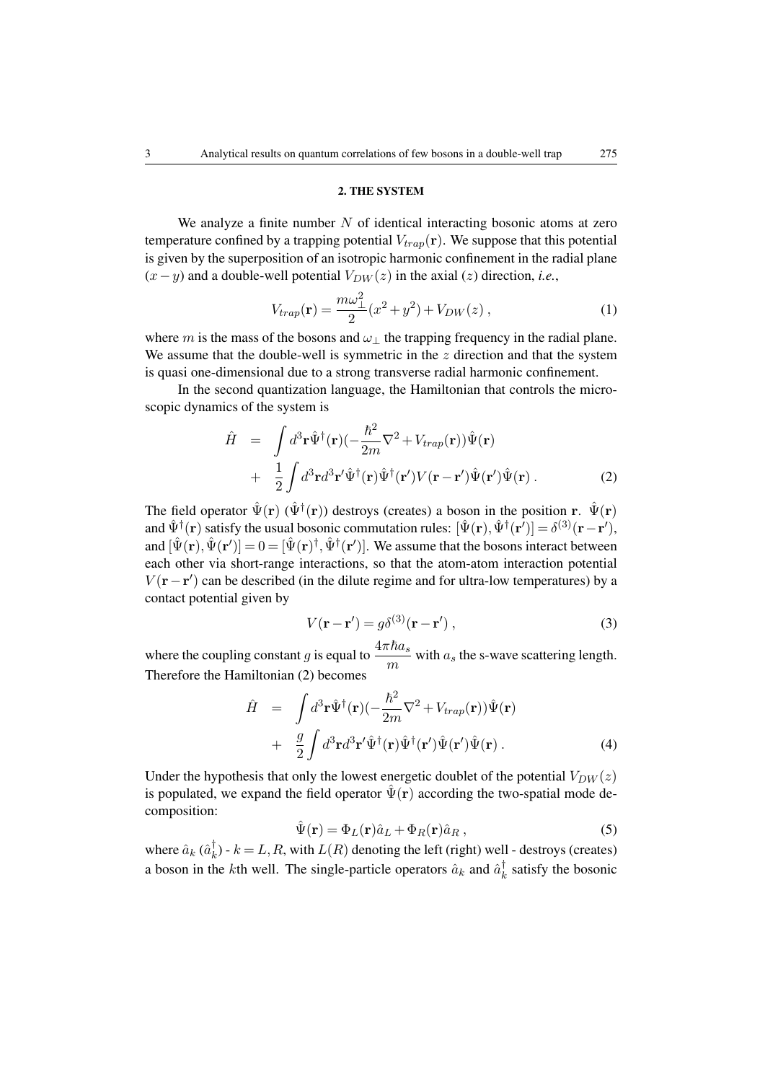## <span id="page-2-1"></span>2. THE SYSTEM

We analyze a finite number  $N$  of identical interacting bosonic atoms at zero temperature confined by a trapping potential  $V_{trap}(\mathbf{r})$ . We suppose that this potential is given by the superposition of an isotropic harmonic confinement in the radial plane  $(x-y)$  and a double-well potential  $V_{DW}(z)$  in the axial  $(z)$  direction, *i.e.*,

$$
V_{trap}(\mathbf{r}) = \frac{m\omega_{\perp}^2}{2}(x^2 + y^2) + V_{DW}(z) , \qquad (1)
$$

where m is the mass of the bosons and  $\omega_{\perp}$  the trapping frequency in the radial plane. We assume that the double-well is symmetric in the  $z$  direction and that the system is quasi one-dimensional due to a strong transverse radial harmonic confinement.

In the second quantization language, the Hamiltonian that controls the microscopic dynamics of the system is

<span id="page-2-0"></span>
$$
\hat{H} = \int d^3 \mathbf{r} \hat{\Psi}^{\dagger}(\mathbf{r}) \left( -\frac{\hbar^2}{2m} \nabla^2 + V_{trap}(\mathbf{r}) \right) \hat{\Psi}(\mathbf{r}) \n+ \frac{1}{2} \int d^3 \mathbf{r} d^3 \mathbf{r}' \hat{\Psi}^{\dagger}(\mathbf{r}) \hat{\Psi}^{\dagger}(\mathbf{r}') V(\mathbf{r} - \mathbf{r}') \hat{\Psi}(\mathbf{r}') \hat{\Psi}(\mathbf{r}) .
$$
\n(2)

The field operator  $\hat{\Psi}(\mathbf{r})$  ( $\hat{\Psi}^{\dagger}(\mathbf{r})$ ) destroys (creates) a boson in the position r.  $\hat{\Psi}(\mathbf{r})$ and  $\hat{\Psi}^{\dagger}(\mathbf{r})$  satisfy the usual bosonic commutation rules:  $[\hat{\Psi}(\mathbf{r}), \hat{\Psi}^{\dagger}(\mathbf{r}')] = \delta^{(3)}(\mathbf{r} - \mathbf{r}'),$ and  $[\hat{\Psi}(\mathbf{r}), \hat{\Psi}(\mathbf{r}')] = 0 = [\hat{\Psi}(\mathbf{r})^{\dagger}, \hat{\Psi}^{\dagger}(\mathbf{r}')]$ . We assume that the bosons interact between each other via short-range interactions, so that the atom-atom interaction potential  $V(\mathbf{r}-\mathbf{r}')$  can be described (in the dilute regime and for ultra-low temperatures) by a contact potential given by

$$
V(\mathbf{r} - \mathbf{r}') = g\delta^{(3)}(\mathbf{r} - \mathbf{r}'),\tag{3}
$$

where the coupling constant g is equal to  $\frac{4\pi\hbar a_s}{m}$  with  $a_s$  the s-wave scattering length. Therefore the Hamiltonian [\(2\)](#page-2-0) becomes

<span id="page-2-3"></span>
$$
\hat{H} = \int d^3 \mathbf{r} \hat{\Psi}^{\dagger}(\mathbf{r}) \left( -\frac{\hbar^2}{2m} \nabla^2 + V_{trap}(\mathbf{r}) \right) \hat{\Psi}(\mathbf{r}) \n+ \frac{g}{2} \int d^3 \mathbf{r} d^3 \mathbf{r}' \hat{\Psi}^{\dagger}(\mathbf{r}) \hat{\Psi}^{\dagger}(\mathbf{r}') \hat{\Psi}(\mathbf{r}') \hat{\Psi}(\mathbf{r}) .
$$
\n(4)

Under the hypothesis that only the lowest energetic doublet of the potential  $V_{DW}(z)$ is populated, we expand the field operator  $\hat{\Psi}(\mathbf{r})$  according the two-spatial mode decomposition:

<span id="page-2-2"></span>
$$
\hat{\Psi}(\mathbf{r}) = \Phi_L(\mathbf{r}) \hat{a}_L + \Phi_R(\mathbf{r}) \hat{a}_R , \qquad (5)
$$

where  $\hat{a}_k$  ( $\hat{a}_k^{\dagger}$  $_{k}^{\dagger}$ ) -  $k = L, R$ , with  $L(R)$  denoting the left (right) well - destroys (creates) a boson in the *k*th well. The single-particle operators  $\hat{a}_k$  and  $\hat{a}_k^{\dagger}$  $k \atop k$  satisfy the bosonic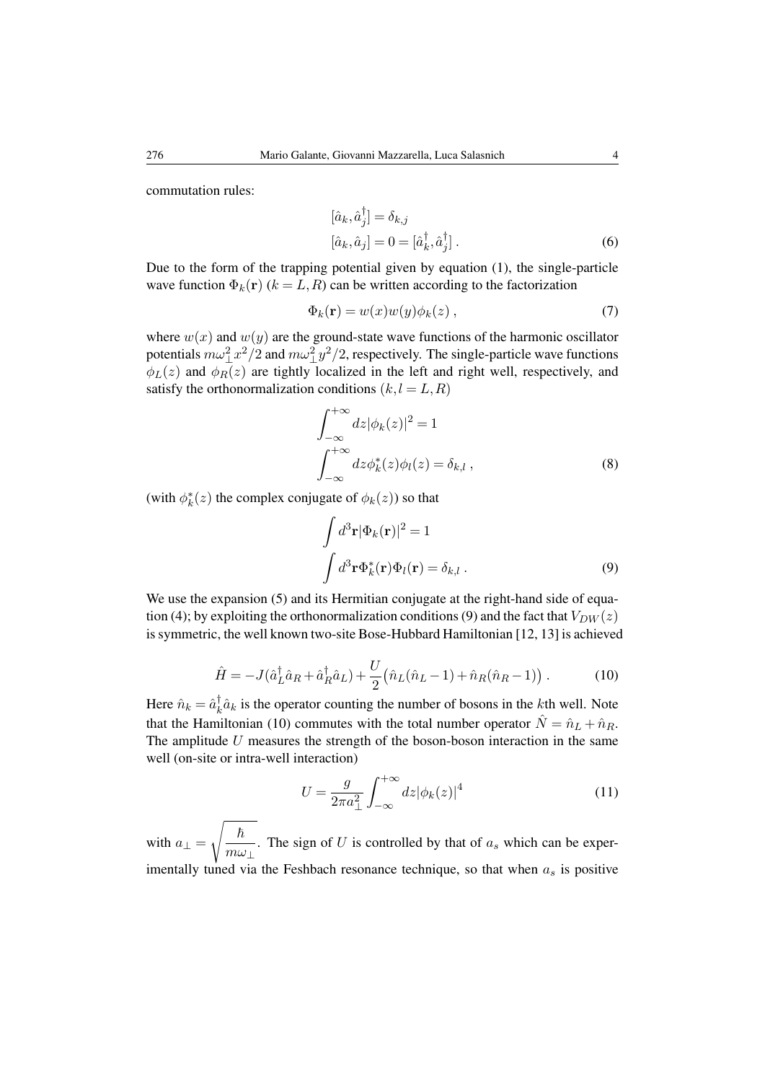commutation rules:

$$
[\hat{a}_k, \hat{a}_j^\dagger] = \delta_{k,j}
$$
  
\n
$$
[\hat{a}_k, \hat{a}_j] = 0 = [\hat{a}_k^\dagger, \hat{a}_j^\dagger].
$$
\n(6)

Due to the form of the trapping potential given by equation [\(1\)](#page-2-1), the single-particle wave function  $\Phi_k(\mathbf{r})$  ( $k = L, R$ ) can be written according to the factorization

$$
\Phi_k(\mathbf{r}) = w(x)w(y)\phi_k(z) , \qquad (7)
$$

where  $w(x)$  and  $w(y)$  are the ground-state wave functions of the harmonic oscillator potentials  $m\omega_{\perp}^2 x^2/2$  and  $m\omega_{\perp}^2 y^2/2$ , respectively. The single-particle wave functions  $\phi_L(z)$  and  $\phi_R(z)$  are tightly localized in the left and right well, respectively, and satisfy the orthonormalization conditions  $(k, l = L, R)$ 

$$
\int_{-\infty}^{+\infty} dz |\phi_k(z)|^2 = 1
$$
  

$$
\int_{-\infty}^{+\infty} dz \phi_k^*(z) \phi_l(z) = \delta_{k,l},
$$
 (8)

(with  $\phi_k^*(z)$  the complex conjugate of  $\phi_k(z)$ ) so that

<span id="page-3-0"></span>
$$
\int d^3 \mathbf{r} |\Phi_k(\mathbf{r})|^2 = 1
$$

$$
\int d^3 \mathbf{r} \Phi_k^*(\mathbf{r}) \Phi_l(\mathbf{r}) = \delta_{k,l} .
$$
 (9)

<span id="page-3-1"></span>We use the expansion [\(5\)](#page-2-2) and its Hermitian conjugate at the right-hand side of equa-tion [\(4\)](#page-2-3); by exploiting the orthonormalization conditions [\(9\)](#page-3-0) and the fact that  $V_{DW}(z)$ is symmetric, the well known two-site Bose-Hubbard Hamiltonian [\[12,](#page-20-4) [13\]](#page-20-5) is achieved

$$
\hat{H} = -J(\hat{a}_L^{\dagger} \hat{a}_R + \hat{a}_R^{\dagger} \hat{a}_L) + \frac{U}{2} (\hat{n}_L (\hat{n}_L - 1) + \hat{n}_R (\hat{n}_R - 1)).
$$
\n(10)

Here  $\hat{n}_k = \hat{a}_k^{\dagger}$  $\bar{k} \hat{a}_k$  is the operator counting the number of bosons in the *k*th well. Note that the Hamiltonian [\(10\)](#page-3-1) commutes with the total number operator  $\hat{N} = \hat{n}_L + \hat{n}_R$ . The amplitude  $U$  measures the strength of the boson-boson interaction in the same well (on-site or intra-well interaction)

$$
U = \frac{g}{2\pi a_{\perp}^2} \int_{-\infty}^{+\infty} dz |\phi_k(z)|^4
$$
 (11)

with  $a_{\perp} =$  $\sqrt{\hbar}$  $\frac{n}{m\omega_{\perp}}$ . The sign of U is controlled by that of  $a_s$  which can be experimentally tuned via the Feshbach resonance technique, so that when  $a_s$  is positive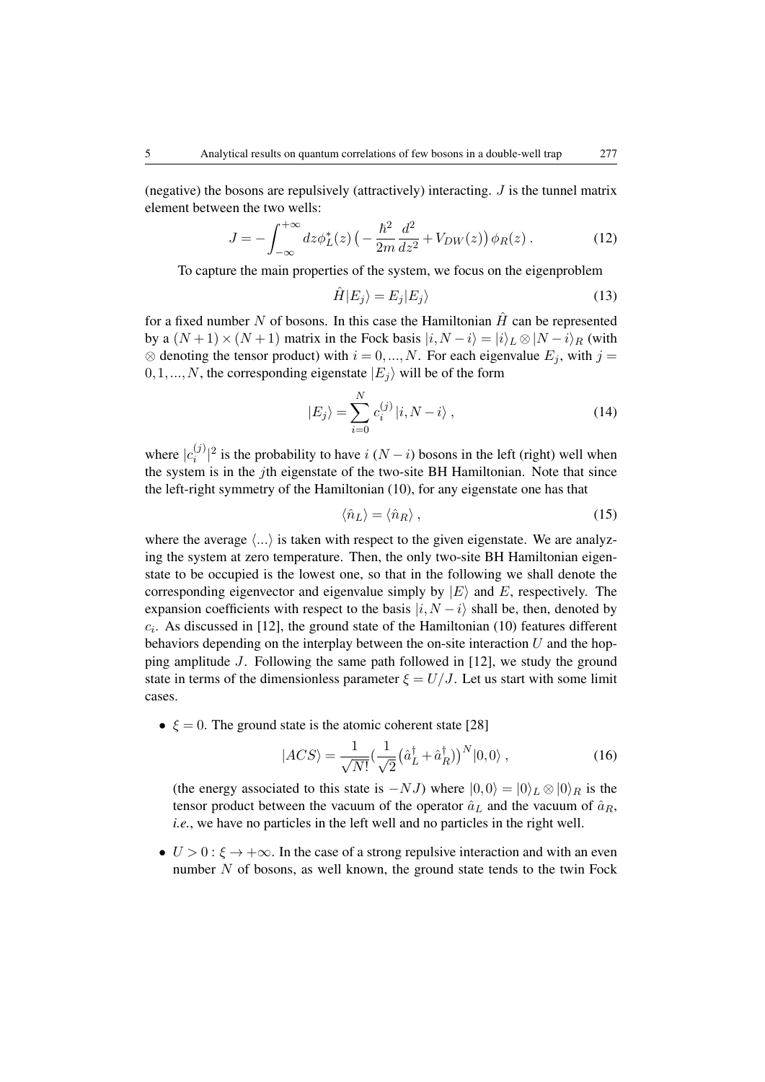(negative) the bosons are repulsively (attractively) interacting.  $J$  is the tunnel matrix element between the two wells:

$$
J = -\int_{-\infty}^{+\infty} dz \phi_L^*(z) \left( -\frac{\hbar^2}{2m} \frac{d^2}{dz^2} + V_{DW}(z) \right) \phi_R(z) \,. \tag{12}
$$

To capture the main properties of the system, we focus on the eigenproblem

$$
\hat{H}|E_j\rangle = E_j|E_j\rangle\tag{13}
$$

for a fixed number N of bosons. In this case the Hamiltonian  $\hat{H}$  can be represented by a  $(N+1)\times(N+1)$  matrix in the Fock basis  $|i,N-i\rangle = |i\rangle_L \otimes |N-i\rangle_R$  (with  $\otimes$  denoting the tensor product) with  $i = 0, ..., N$ . For each eigenvalue  $E_i$ , with  $j =$  $0,1,...,N$ , the corresponding eigenstate  $|E_i\rangle$  will be of the form

$$
|E_j\rangle = \sum_{i=0}^{N} c_i^{(j)} |i, N - i\rangle , \qquad (14)
$$

where  $|c_i^{(j)}\rangle$  $\binom{1}{i}$  is the probability to have i (N − i) bosons in the left (right) well when the system is in the jth eigenstate of the two-site BH Hamiltonian. Note that since the left-right symmetry of the Hamiltonian [\(10\)](#page-3-1), for any eigenstate one has that

<span id="page-4-0"></span>
$$
\langle \hat{n}_L \rangle = \langle \hat{n}_R \rangle \,, \tag{15}
$$

where the average  $\langle \ldots \rangle$  is taken with respect to the given eigenstate. We are analyzing the system at zero temperature. Then, the only two-site BH Hamiltonian eigenstate to be occupied is the lowest one, so that in the following we shall denote the corresponding eigenvector and eigenvalue simply by  $|E\rangle$  and E, respectively. The expansion coefficients with respect to the basis  $|i, N - i\rangle$  shall be, then, denoted by  $c_i$ . As discussed in [\[12\]](#page-20-4), the ground state of the Hamiltonian [\(10\)](#page-3-1) features different behaviors depending on the interplay between the on-site interaction  $U$  and the hopping amplitude J. Following the same path followed in [\[12\]](#page-20-4), we study the ground state in terms of the dimensionless parameter  $\xi = U/J$ . Let us start with some limit cases.

•  $\xi = 0$ . The ground state is the atomic coherent state [\[28\]](#page-21-3)

<span id="page-4-1"></span>
$$
|ACS \rangle = \frac{1}{\sqrt{N!}} \left(\frac{1}{\sqrt{2}} \left(\hat{a}_L^\dagger + \hat{a}_R^\dagger\right)\right)^N |0,0\rangle \,,\tag{16}
$$

(the energy associated to this state is  $-NJ$ ) where  $|0,0\rangle = |0\rangle_L \otimes |0\rangle_R$  is the tensor product between the vacuum of the operator  $\hat{a}_L$  and the vacuum of  $\hat{a}_R$ , *i.e.*, we have no particles in the left well and no particles in the right well.

•  $U > 0$ :  $\xi \rightarrow +\infty$ . In the case of a strong repulsive interaction and with an even number  $N$  of bosons, as well known, the ground state tends to the twin Fock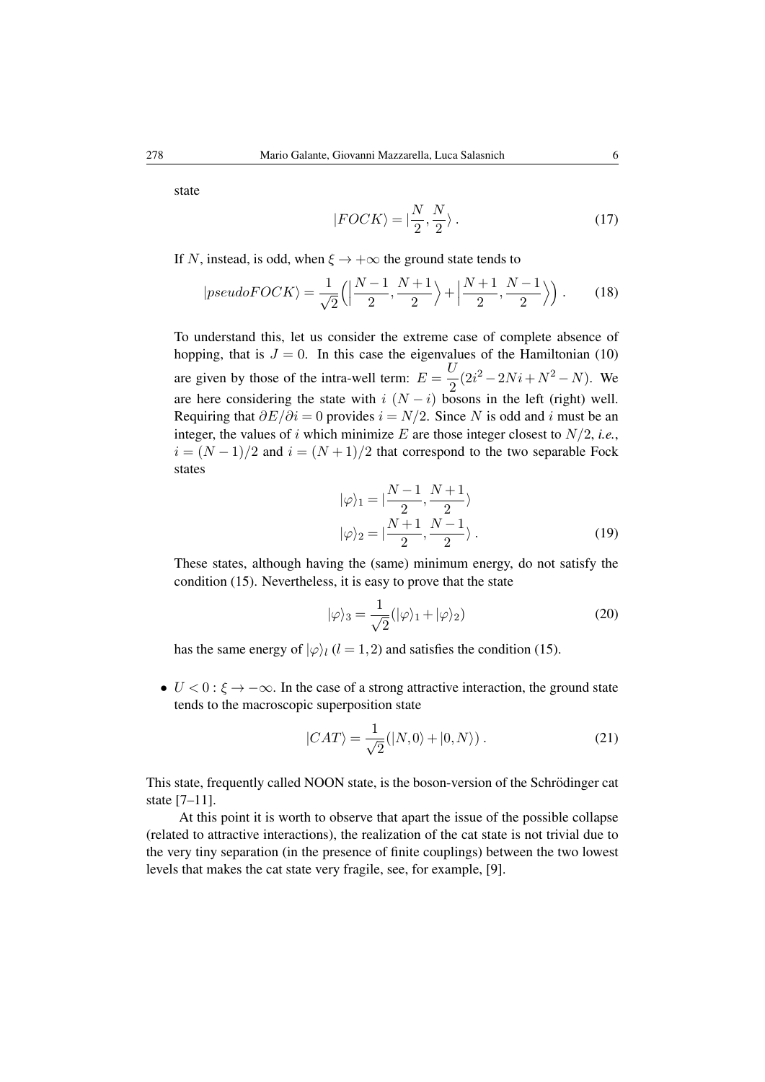<span id="page-5-1"></span>state

<span id="page-5-2"></span>
$$
|FOCK\rangle = |\frac{N}{2}, \frac{N}{2}\rangle. \tag{17}
$$

If N, instead, is odd, when  $\xi \rightarrow +\infty$  the ground state tends to

$$
|pseudoFOCK\rangle = \frac{1}{\sqrt{2}}\left(\left|\frac{N-1}{2}, \frac{N+1}{2}\right\rangle + \left|\frac{N+1}{2}, \frac{N-1}{2}\right\rangle\right). \tag{18}
$$

To understand this, let us consider the extreme case of complete absence of hopping, that is  $J = 0$ . In this case the eigenvalues of the Hamiltonian [\(10\)](#page-3-1) are given by those of the intra-well term:  $E = \frac{U}{2}$  $\frac{v}{2}(2i^2-2Ni+N^2-N)$ . We are here considering the state with i  $(N - i)$  bosons in the left (right) well. Requiring that  $\partial E/\partial i = 0$  provides  $i = N/2$ . Since N is odd and i must be an integer, the values of i which minimize  $E$  are those integer closest to  $N/2$ , *i.e.*,  $i = (N-1)/2$  and  $i = (N+1)/2$  that correspond to the two separable Fock states

$$
|\varphi\rangle_1 = |\frac{N-1}{2}, \frac{N+1}{2}\rangle
$$
  

$$
|\varphi\rangle_2 = |\frac{N+1}{2}, \frac{N-1}{2}\rangle.
$$
 (19)

These states, although having the (same) minimum energy, do not satisfy the condition [\(15\)](#page-4-0). Nevertheless, it is easy to prove that the state

$$
|\varphi\rangle_3 = \frac{1}{\sqrt{2}} (|\varphi\rangle_1 + |\varphi\rangle_2)
$$
 (20)

has the same energy of  $|\varphi\rangle_l$  (l = 1, 2) and satisfies the condition [\(15\)](#page-4-0).

•  $U < 0$ :  $\xi \rightarrow -\infty$ . In the case of a strong attractive interaction, the ground state tends to the macroscopic superposition state

<span id="page-5-0"></span>
$$
|CAT\rangle = \frac{1}{\sqrt{2}}(|N,0\rangle + |0,N\rangle). \tag{21}
$$

This state, frequently called NOON state, is the boson-version of the Schrödinger cat state [\[7–](#page-20-3)[11\]](#page-20-7).

At this point it is worth to observe that apart the issue of the possible collapse (related to attractive interactions), the realization of the cat state is not trivial due to the very tiny separation (in the presence of finite couplings) between the two lowest levels that makes the cat state very fragile, see, for example, [\[9\]](#page-20-15).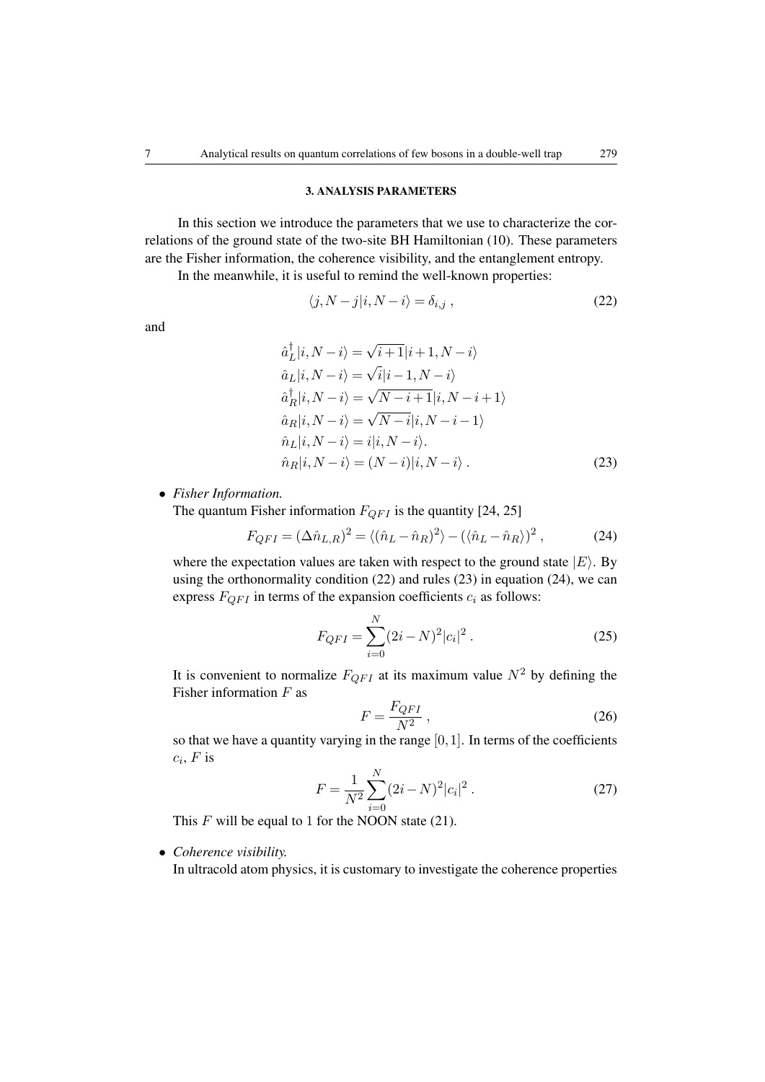### 3. ANALYSIS PARAMETERS

In this section we introduce the parameters that we use to characterize the correlations of the ground state of the two-site BH Hamiltonian [\(10\)](#page-3-1). These parameters are the Fisher information, the coherence visibility, and the entanglement entropy.

In the meanwhile, it is useful to remind the well-known properties:

<span id="page-6-0"></span>
$$
\langle j, N - j | i, N - i \rangle = \delta_{i,j} , \qquad (22)
$$

and

<span id="page-6-1"></span>
$$
\hat{a}_{L}^{\dagger}|i, N - i\rangle = \sqrt{i+1}|i+1, N - i\rangle \n\hat{a}_{L}|i, N - i\rangle = \sqrt{i}|i-1, N - i\rangle \n\hat{a}_{R}^{\dagger}|i, N - i\rangle = \sqrt{N-i+1}|i, N - i + 1\rangle \n\hat{a}_{R}|i, N - i\rangle = \sqrt{N-i}|i, N - i - 1\rangle \n\hat{n}_{L}|i, N - i\rangle = i|i, N - i\rangle.
$$
\n(23)

• *Fisher Information.*

The quantum Fisher information  $F_{QFI}$  is the quantity [\[24,](#page-20-13) [25\]](#page-21-0)

$$
F_{QFI} = (\Delta \hat{n}_{L,R})^2 = \langle (\hat{n}_L - \hat{n}_R)^2 \rangle - (\langle \hat{n}_L - \hat{n}_R \rangle)^2 , \qquad (24)
$$

where the expectation values are taken with respect to the ground state  $|E\rangle$ . By using the orthonormality condition [\(22\)](#page-6-0) and rules [\(23\)](#page-6-1) in equation [\(24\)](#page-6-2), we can express  $F_{QFI}$  in terms of the expansion coefficients  $c_i$  as follows:

<span id="page-6-2"></span>
$$
F_{QFI} = \sum_{i=0}^{N} (2i - N)^2 |c_i|^2.
$$
 (25)

It is convenient to normalize  $F_{QFI}$  at its maximum value  $N^2$  by defining the Fisher information  $F$  as

<span id="page-6-3"></span>
$$
F = \frac{F_{QFI}}{N^2} \,,\tag{26}
$$

<span id="page-6-4"></span>so that we have a quantity varying in the range  $[0,1]$ . In terms of the coefficients  $c_i$ ,  $F$  is

$$
F = \frac{1}{N^2} \sum_{i=0}^{N} (2i - N)^2 |c_i|^2.
$$
 (27)

This  $F$  will be equal to 1 for the NOON state [\(21\)](#page-5-0).

# • *Coherence visibility.*

In ultracold atom physics, it is customary to investigate the coherence properties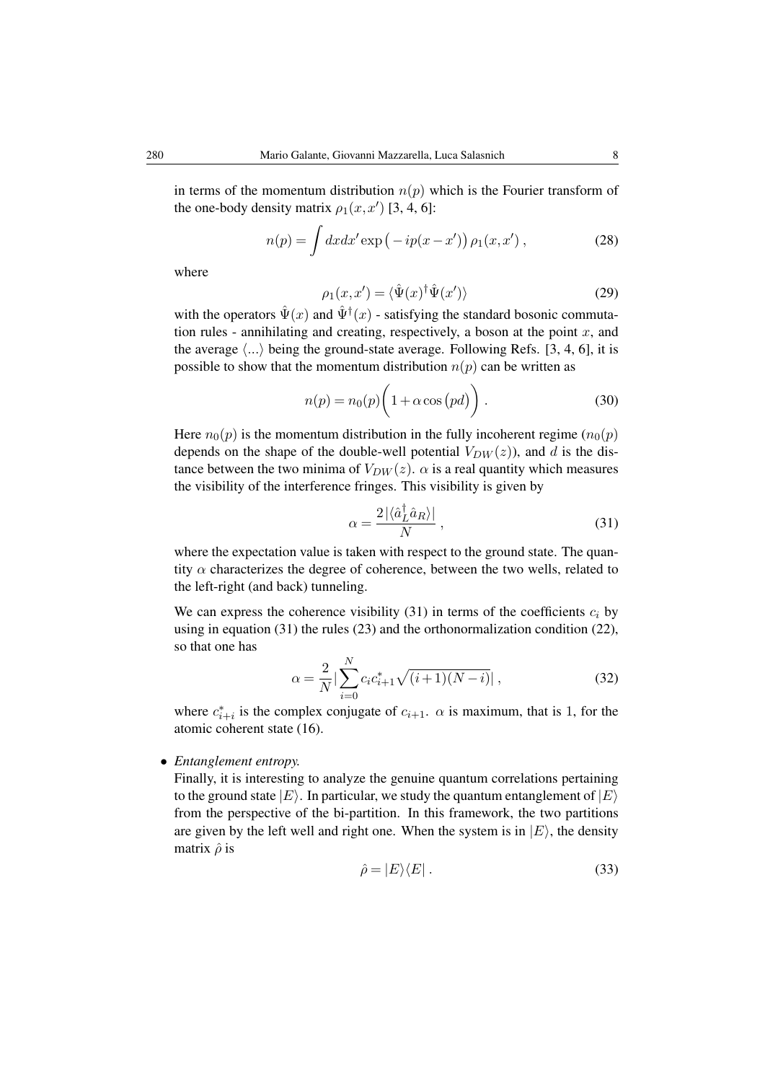in terms of the momentum distribution  $n(p)$  which is the Fourier transform of the one-body density matrix  $\rho_1(x, x')$  [\[3,](#page-20-6) [4,](#page-20-14) [6\]](#page-20-2):

$$
n(p) = \int dx dx' \exp(-ip(x - x')) \rho_1(x, x'), \qquad (28)
$$

where

$$
\rho_1(x, x') = \langle \hat{\Psi}(x)^\dagger \hat{\Psi}(x') \rangle \tag{29}
$$

with the operators  $\hat{\Psi}(x)$  and  $\hat{\Psi}^{\dagger}(x)$  - satisfying the standard bosonic commutation rules - annihilating and creating, respectively, a boson at the point  $x$ , and the average  $\langle \ldots \rangle$  being the ground-state average. Following Refs. [\[3,](#page-20-6) [4,](#page-20-14) [6\]](#page-20-2), it is possible to show that the momentum distribution  $n(p)$  can be written as

$$
n(p) = n_0(p) \left( 1 + \alpha \cos \left( pd \right) \right). \tag{30}
$$

Here  $n_0(p)$  is the momentum distribution in the fully incoherent regime  $(n_0(p))$ depends on the shape of the double-well potential  $V_{DW}(z)$ , and d is the distance between the two minima of  $V_{DW}(z)$ .  $\alpha$  is a real quantity which measures the visibility of the interference fringes. This visibility is given by

<span id="page-7-0"></span>
$$
\alpha = \frac{2|\langle \hat{a}_L^{\dagger} \hat{a}_R \rangle|}{N},\tag{31}
$$

where the expectation value is taken with respect to the ground state. The quantity  $\alpha$  characterizes the degree of coherence, between the two wells, related to the left-right (and back) tunneling.

We can express the coherence visibility [\(31\)](#page-7-0) in terms of the coefficients  $c_i$  by using in equation [\(31\)](#page-7-0) the rules [\(23\)](#page-6-1) and the orthonormalization condition [\(22\)](#page-6-0), so that one has

<span id="page-7-2"></span>
$$
\alpha = \frac{2}{N} \left| \sum_{i=0}^{N} c_i c_{i+1}^* \sqrt{(i+1)(N-i)} \right|, \tag{32}
$$

where  $c_{i+i}^*$  is the complex conjugate of  $c_{i+1}$ .  $\alpha$  is maximum, that is 1, for the atomic coherent state [\(16\)](#page-4-1).

• *Entanglement entropy.*

<span id="page-7-1"></span>Finally, it is interesting to analyze the genuine quantum correlations pertaining to the ground state  $|E\rangle$ . In particular, we study the quantum entanglement of  $|E\rangle$ from the perspective of the bi-partition. In this framework, the two partitions are given by the left well and right one. When the system is in  $|E\rangle$ , the density matrix  $\hat{\rho}$  is

$$
\hat{\rho} = |E\rangle\langle E| \,. \tag{33}
$$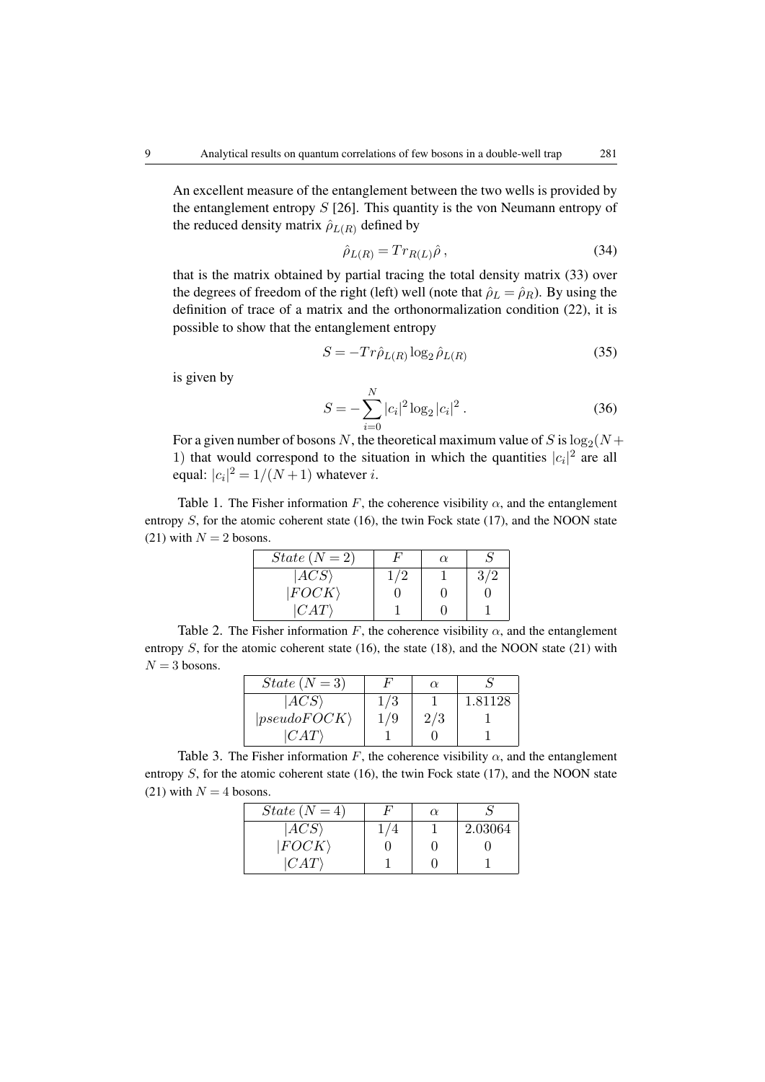An excellent measure of the entanglement between the two wells is provided by the entanglement entropy  $S$  [\[26\]](#page-21-1). This quantity is the von Neumann entropy of the reduced density matrix  $\hat{\rho}_{L(R)}$  defined by

$$
\hat{\rho}_{L(R)} = Tr_{R(L)}\hat{\rho} \,, \tag{34}
$$

that is the matrix obtained by partial tracing the total density matrix [\(33\)](#page-7-1) over the degrees of freedom of the right (left) well (note that  $\hat{\rho}_L = \hat{\rho}_R$ ). By using the definition of trace of a matrix and the orthonormalization condition [\(22\)](#page-6-0), it is possible to show that the entanglement entropy

$$
S = -Tr\hat{\rho}_{L(R)}\log_2\hat{\rho}_{L(R)}\tag{35}
$$

<span id="page-8-0"></span>is given by

$$
S = -\sum_{i=0}^{N} |c_i|^2 \log_2 |c_i|^2.
$$
 (36)

For a given number of bosons N, the theoretical maximum value of S is  $\log_2(N+$ 1) that would correspond to the situation in which the quantities  $|c_i|^2$  are all equal:  $|c_i|^2 = 1/(N+1)$  whatever *i*.

Table 1. The Fisher information F, the coherence visibility  $\alpha$ , and the entanglement entropy  $S$ , for the atomic coherent state [\(16\)](#page-4-1), the twin Fock state [\(17\)](#page-5-1), and the NOON state [\(21\)](#page-5-0) with  $N = 2$  bosons.

| $State(N=2)$   |     | $\alpha$ |     |
|----------------|-----|----------|-----|
| $ ACS \rangle$ | 1/2 |          | 3/2 |
| $ FOCK\rangle$ |     |          |     |
| CAT            |     |          |     |

Table 2. The Fisher information F, the coherence visibility  $\alpha$ , and the entanglement entropy  $S$ , for the atomic coherent state [\(16\)](#page-4-1), the state [\(18\)](#page-5-2), and the NOON state [\(21\)](#page-5-0) with  $N = 3$  bosons.

| $State(N=3)$         |     | $\alpha$ |         |
|----------------------|-----|----------|---------|
| $ ACS\rangle$        | 1/3 |          | 1.81128 |
| $ pseudoFOCK\rangle$ | 79  | 2/3      |         |
| CAT                  |     |          |         |

Table 3. The Fisher information F, the coherence visibility  $\alpha$ , and the entanglement entropy  $S$ , for the atomic coherent state [\(16\)](#page-4-1), the twin Fock state [\(17\)](#page-5-1), and the NOON state [\(21\)](#page-5-0) with  $N = 4$  bosons.

| $State(N=4)$          | $\alpha$ |         |
|-----------------------|----------|---------|
| ACS                   |          | 2.03064 |
| $ FOCK\rangle$        |          |         |
| $\langle CAT \rangle$ |          |         |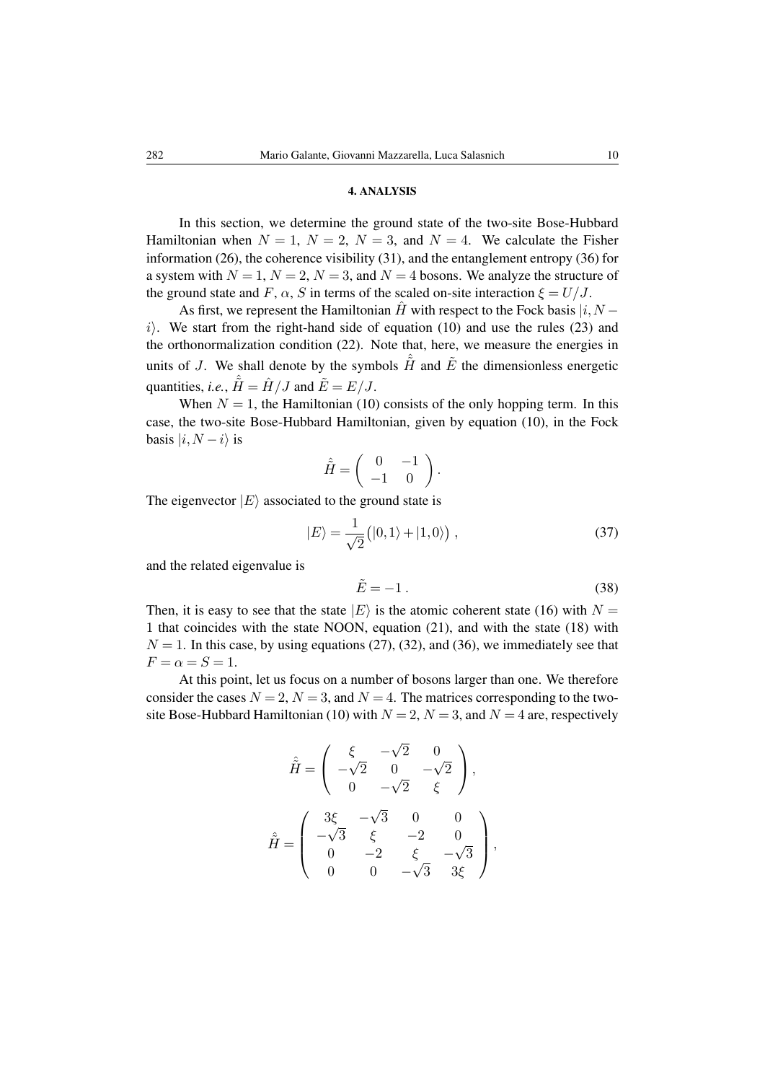## 4. ANALYSIS

In this section, we determine the ground state of the two-site Bose-Hubbard Hamiltonian when  $N = 1$ ,  $N = 2$ ,  $N = 3$ , and  $N = 4$ . We calculate the Fisher information [\(26\)](#page-6-3), the coherence visibility [\(31\)](#page-7-0), and the entanglement entropy [\(36\)](#page-8-0) for a system with  $N = 1$ ,  $N = 2$ ,  $N = 3$ , and  $N = 4$  bosons. We analyze the structure of the ground state and F,  $\alpha$ , S in terms of the scaled on-site interaction  $\xi = U/J$ .

As first, we represent the Hamiltonian  $\hat{H}$  with respect to the Fock basis  $|i, N -$ i). We start from the right-hand side of equation [\(10\)](#page-3-1) and use the rules [\(23\)](#page-6-1) and the orthonormalization condition [\(22\)](#page-6-0). Note that, here, we measure the energies in units of J. We shall denote by the symbols  $\hat{H}$  and  $\tilde{E}$  the dimensionless energetic quantities, *i.e.*,  $\hat{H} = \hat{H}/J$  and  $\tilde{E} = E/J$ .

When  $N = 1$ , the Hamiltonian [\(10\)](#page-3-1) consists of the only hopping term. In this case, the two-site Bose-Hubbard Hamiltonian, given by equation [\(10\)](#page-3-1), in the Fock basis  $|i, N - i\rangle$  is

$$
\hat{\tilde{H}} = \left( \begin{array}{cc} 0 & -1 \\ -1 & 0 \end{array} \right).
$$

The eigenvector  $|E\rangle$  associated to the ground state is

$$
|E\rangle = \frac{1}{\sqrt{2}} (|0,1\rangle + |1,0\rangle), \qquad (37)
$$

and the related eigenvalue is

$$
\tilde{E} = -1.
$$
\n(38)

Then, it is easy to see that the state  $|E\rangle$  is the atomic coherent state [\(16\)](#page-4-1) with  $N =$ 1 that coincides with the state NOON, equation [\(21\)](#page-5-0), and with the state [\(18\)](#page-5-2) with  $N = 1$ . In this case, by using equations [\(27\)](#page-6-4), [\(32\)](#page-7-2), and [\(36\)](#page-8-0), we immediately see that  $F = \alpha = S = 1.$ 

At this point, let us focus on a number of bosons larger than one. We therefore consider the cases  $N = 2$ ,  $N = 3$ , and  $N = 4$ . The matrices corresponding to the two-site Bose-Hubbard Hamiltonian [\(10\)](#page-3-1) with  $N = 2$ ,  $N = 3$ , and  $N = 4$  are, respectively

$$
\hat{H} = \begin{pmatrix}\n\xi & -\sqrt{2} & 0 \\
-\sqrt{2} & 0 & -\sqrt{2} \\
0 & -\sqrt{2} & \xi\n\end{pmatrix},
$$
\n
$$
\hat{H} = \begin{pmatrix}\n3\xi & -\sqrt{3} & 0 & 0 \\
-\sqrt{3} & \xi & -2 & 0 \\
0 & -2 & \xi & -\sqrt{3} \\
0 & 0 & -\sqrt{3} & 3\xi\n\end{pmatrix},
$$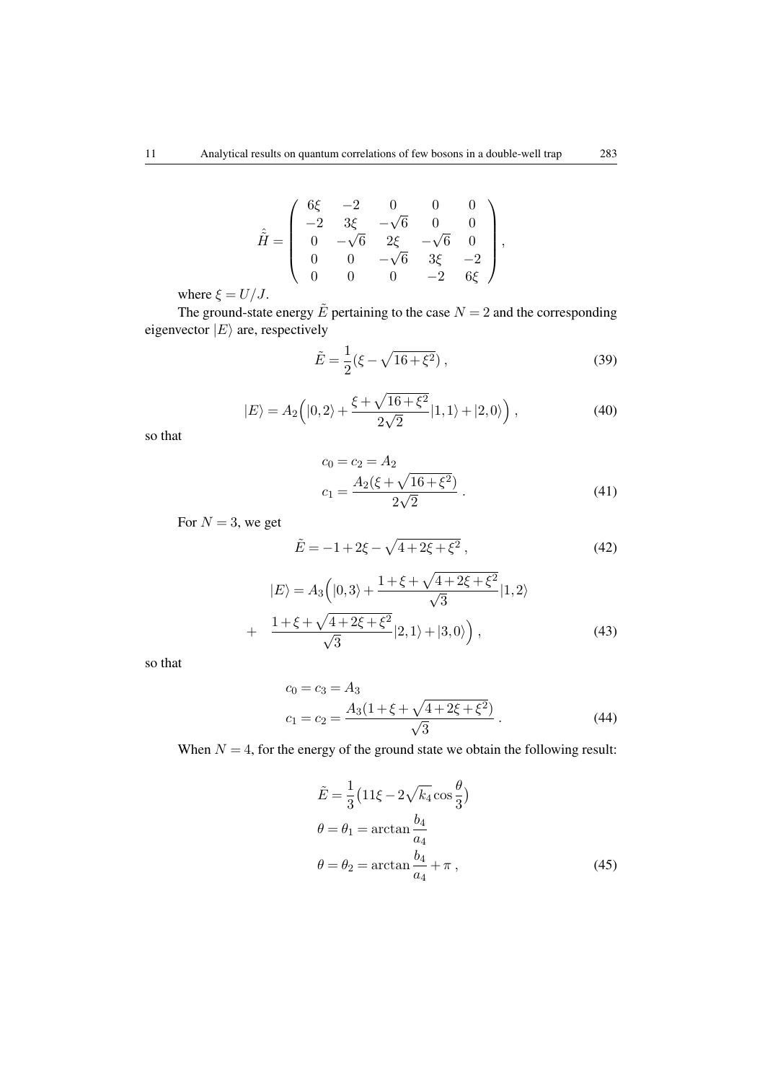$$
\hat{\tilde{H}} = \left( \begin{array}{cccc} 6\xi & -2 & 0 & 0 & 0 \\ -2 & 3\xi & -\sqrt{6} & 0 & 0 \\ 0 & -\sqrt{6} & 2\xi & -\sqrt{6} & 0 \\ 0 & 0 & -\sqrt{6} & 3\xi & -2 \\ 0 & 0 & 0 & -2 & 6\xi \end{array} \right),
$$

where  $\xi = U/J$ .

The ground-state energy  $\tilde{E}$  pertaining to the case  $N = 2$  and the corresponding eigenvector  $|E\rangle$  are, respectively

<span id="page-10-1"></span>
$$
\tilde{E} = \frac{1}{2} (\xi - \sqrt{16 + \xi^2}) ,\qquad (39)
$$

$$
|E\rangle = A_2 \left( |0,2\rangle + \frac{\xi + \sqrt{16 + \xi^2}}{2\sqrt{2}} |1,1\rangle + |2,0\rangle \right),\tag{40}
$$

<span id="page-10-2"></span>so that

<span id="page-10-4"></span>
$$
c_0 = c_2 = A_2
$$
  
\n
$$
c_1 = \frac{A_2(\xi + \sqrt{16 + \xi^2})}{2\sqrt{2}}.
$$
\n(41)

For  $N = 3$ , we get

<span id="page-10-6"></span>
$$
\tilde{E} = -1 + 2\xi - \sqrt{4 + 2\xi + \xi^2} \,,\tag{42}
$$

<span id="page-10-3"></span>
$$
|E\rangle = A_3 \left( |0,3\rangle + \frac{1 + \xi + \sqrt{4 + 2\xi + \xi^2}}{\sqrt{3}} |1,2\rangle + \frac{1 + \xi + \sqrt{4 + 2\xi + \xi^2}}{\sqrt{3}} |2,1\rangle + |3,0\rangle \right),
$$
(43)

so that

<span id="page-10-5"></span>
$$
c_0 = c_3 = A_3
$$
  
\n
$$
c_1 = c_2 = \frac{A_3(1 + \xi + \sqrt{4 + 2\xi + \xi^2})}{\sqrt{3}}.
$$
\n(44)

When  $N = 4$ , for the energy of the ground state we obtain the following result:

<span id="page-10-0"></span>
$$
\tilde{E} = \frac{1}{3} \left( 11 \xi - 2\sqrt{k_4} \cos \frac{\theta}{3} \right)
$$
  
\n
$$
\theta = \theta_1 = \arctan \frac{b_4}{a_4}
$$
  
\n
$$
\theta = \theta_2 = \arctan \frac{b_4}{a_4} + \pi ,
$$
\n(45)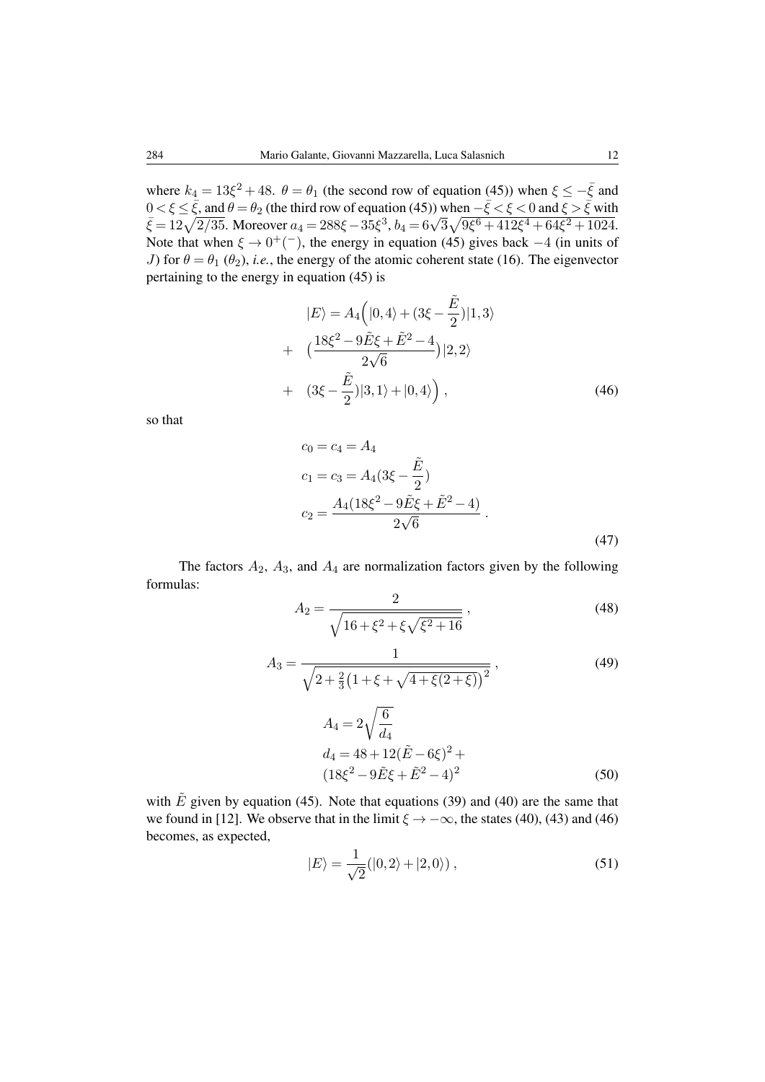where  $k_4 = 13\xi^2 + 48$ .  $\theta = \theta_1$  (the second row of equation [\(45\)](#page-10-0)) when  $\xi \le -\overline{\xi}$  and  $0 < \xi \le \bar{\xi}$ , and  $\theta = \theta_2$  (the third row of equation [\(45\)](#page-10-0)) when  $-\bar{\xi} < \xi < 0$  and  $\xi > \bar{\xi}$  with  $\bar{\xi}$  = 12 $\sqrt{2/35}$ . Moreover  $a_4$  = 288ξ − 35ξ<sup>3</sup>,  $b_4$  = 6 $\sqrt{3}\sqrt{9\xi^6}$  + 412ξ<sup>4</sup> + 64ξ<sup>2</sup> + 1024. Note that when  $\xi \to 0^+(-)$ , the energy in equation [\(45\)](#page-10-0) gives back  $-4$  (in units of J) for  $\theta = \theta_1 (\theta_2)$ , *i.e.*, the energy of the atomic coherent state [\(16\)](#page-4-1). The eigenvector pertaining to the energy in equation [\(45\)](#page-10-0) is

<span id="page-11-0"></span>
$$
|E\rangle = A_4 \left( |0, 4\rangle + (3\xi - \frac{\tilde{E}}{2}) |1, 3\rangle \right.+ \left. \left( \frac{18\xi^2 - 9\tilde{E}\xi + \tilde{E}^2 - 4}{2\sqrt{6}} \right) |2, 2\rangle + \left. (3\xi - \frac{\tilde{E}}{2}) |3, 1\rangle + |0, 4\rangle \right), \tag{46}
$$

so that

<span id="page-11-1"></span>
$$
c_0 = c_4 = A_4
$$
  
\n
$$
c_1 = c_3 = A_4(3\xi - \frac{\tilde{E}}{2})
$$
  
\n
$$
c_2 = \frac{A_4(18\xi^2 - 9\tilde{E}\xi + \tilde{E}^2 - 4)}{2\sqrt{6}}.
$$
\n(47)

<span id="page-11-3"></span><span id="page-11-2"></span>The factors  $A_2$ ,  $A_3$ , and  $A_4$  are normalization factors given by the following formulas:

$$
A_2 = \frac{2}{\sqrt{16 + \xi^2 + \xi\sqrt{\xi^2 + 16}}},\tag{48}
$$

<span id="page-11-4"></span>
$$
A_3 = \frac{1}{\sqrt{2 + \frac{2}{3} \left(1 + \xi + \sqrt{4 + \xi(2 + \xi)}\right)^2}},
$$
\n
$$
A_4 = 2\sqrt{\frac{6}{d_4}}
$$
\n
$$
d_4 = 48 + 12(\tilde{E} - 6\xi)^2 +
$$
\n
$$
(18\xi^2 - 9\tilde{E}\xi + \tilde{E}^2 - 4)^2
$$
\n(50)

with  $\tilde{E}$  given by equation [\(45\)](#page-10-0). Note that equations [\(39\)](#page-10-1) and [\(40\)](#page-10-2) are the same that we found in [\[12\]](#page-20-4). We observe that in the limit  $\xi \to -\infty$ , the states [\(40\)](#page-10-2), [\(43\)](#page-10-3) and [\(46\)](#page-11-0) becomes, as expected,

$$
|E\rangle = \frac{1}{\sqrt{2}}(|0,2\rangle + |2,0\rangle),\qquad(51)
$$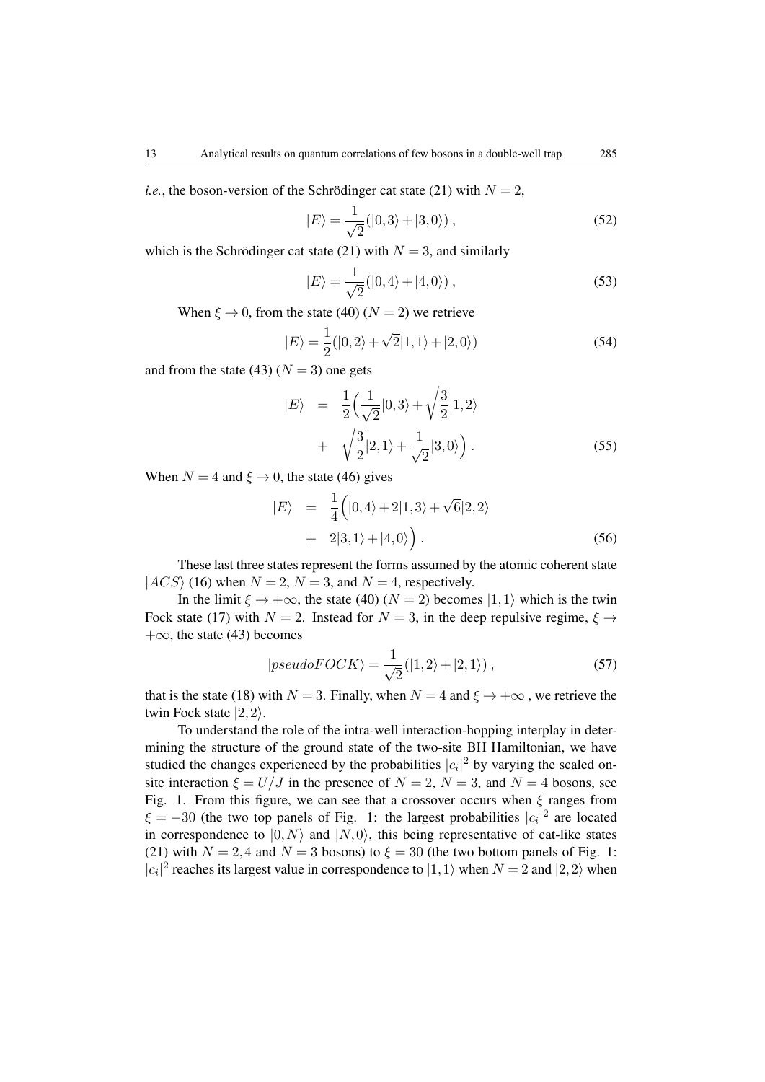*i.e.*, the boson-version of the Schrödinger cat state [\(21\)](#page-5-0) with  $N = 2$ ,

$$
|E\rangle = \frac{1}{\sqrt{2}}(|0,3\rangle + |3,0\rangle),\qquad(52)
$$

which is the Schrödinger cat state [\(21\)](#page-5-0) with  $N = 3$ , and similarly

$$
|E\rangle = \frac{1}{\sqrt{2}}(|0,4\rangle + |4,0\rangle),\qquad(53)
$$

When  $\xi \to 0$ , from the state [\(40\)](#page-10-2) ( $N = 2$ ) we retrieve

$$
|E\rangle = \frac{1}{2}(|0,2\rangle + \sqrt{2}|1,1\rangle + |2,0\rangle)
$$
 (54)

and from the state [\(43\)](#page-10-3) ( $N = 3$ ) one gets

$$
|E\rangle = \frac{1}{2} \left(\frac{1}{\sqrt{2}}|0,3\rangle + \sqrt{\frac{3}{2}}|1,2\rangle
$$
  
+ 
$$
\sqrt{\frac{3}{2}}|2,1\rangle + \frac{1}{\sqrt{2}}|3,0\rangle
$$
 (55)

When  $N = 4$  and  $\xi \rightarrow 0$ , the state [\(46\)](#page-11-0) gives

$$
|E\rangle = \frac{1}{4} (|0,4\rangle + 2|1,3\rangle + \sqrt{6}|2,2\rangle
$$
  
+ 2|3,1\rangle + |4,0\rangle). (56)

These last three states represent the forms assumed by the atomic coherent state  $|ACS \rangle$  [\(16\)](#page-4-1) when  $N = 2$ ,  $N = 3$ , and  $N = 4$ , respectively.

In the limit  $\xi \to +\infty$ , the state [\(40\)](#page-10-2) ( $N = 2$ ) becomes  $|1,1\rangle$  which is the twin Fock state [\(17\)](#page-5-1) with  $N = 2$ . Instead for  $N = 3$ , in the deep repulsive regime,  $\xi \rightarrow$  $+\infty$ , the state [\(43\)](#page-10-3) becomes

$$
|pseudoFOCK\rangle = \frac{1}{\sqrt{2}}(|1,2\rangle + |2,1\rangle) ,\qquad (57)
$$

that is the state [\(18\)](#page-5-2) with  $N = 3$ . Finally, when  $N = 4$  and  $\xi \rightarrow +\infty$ , we retrieve the twin Fock state  $|2,2\rangle$ .

To understand the role of the intra-well interaction-hopping interplay in determining the structure of the ground state of the two-site BH Hamiltonian, we have studied the changes experienced by the probabilities  $|c_i|^2$  by varying the scaled onsite interaction  $\xi = U/J$  in the presence of  $N = 2$ ,  $N = 3$ , and  $N = 4$  bosons, see Fig. 1. From this figure, we can see that a crossover occurs when  $\xi$  ranges from  $\xi = -30$  (the two top panels of Fig. 1: the largest probabilities  $|c_i|^2$  are located in correspondence to  $|0,N\rangle$  and  $|N,0\rangle$ , this being representative of cat-like states [\(21\)](#page-5-0) with  $N = 2, 4$  and  $N = 3$  bosons) to  $\xi = 30$  (the two bottom panels of Fig. 1:  $|c_i|^2$  reaches its largest value in correspondence to  $|1,1\rangle$  when  $N = 2$  and  $|2,2\rangle$  when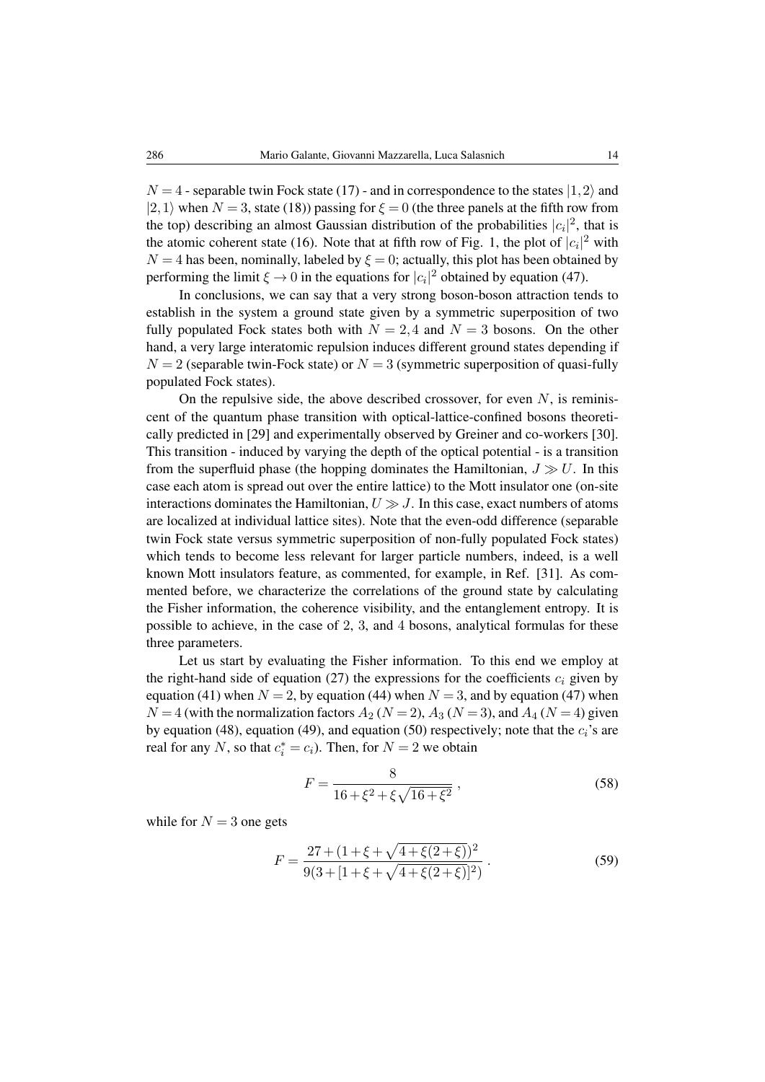$N = 4$  - separable twin Fock state [\(17\)](#page-5-1) - and in correspondence to the states  $|1, 2\rangle$  and  $|2,1\rangle$  when  $N = 3$ , state [\(18\)](#page-5-2)) passing for  $\xi = 0$  (the three panels at the fifth row from the top) describing an almost Gaussian distribution of the probabilities  $|c_i|^2$ , that is the atomic coherent state [\(16\)](#page-4-1). Note that at fifth row of Fig. 1, the plot of  $|c_i|^2$  with  $N = 4$  has been, nominally, labeled by  $\xi = 0$ ; actually, this plot has been obtained by performing the limit  $\xi \to 0$  in the equations for  $|c_i|^2$  obtained by equation [\(47\)](#page-11-1).

In conclusions, we can say that a very strong boson-boson attraction tends to establish in the system a ground state given by a symmetric superposition of two fully populated Fock states both with  $N = 2,4$  and  $N = 3$  bosons. On the other hand, a very large interatomic repulsion induces different ground states depending if  $N = 2$  (separable twin-Fock state) or  $N = 3$  (symmetric superposition of quasi-fully populated Fock states).

On the repulsive side, the above described crossover, for even  $N$ , is reminiscent of the quantum phase transition with optical-lattice-confined bosons theoretically predicted in [\[29\]](#page-21-4) and experimentally observed by Greiner and co-workers [\[30\]](#page-21-5). This transition - induced by varying the depth of the optical potential - is a transition from the superfluid phase (the hopping dominates the Hamiltonian,  $J \gg U$ . In this case each atom is spread out over the entire lattice) to the Mott insulator one (on-site interactions dominates the Hamiltonian,  $U \gg J$ . In this case, exact numbers of atoms are localized at individual lattice sites). Note that the even-odd difference (separable twin Fock state versus symmetric superposition of non-fully populated Fock states) which tends to become less relevant for larger particle numbers, indeed, is a well known Mott insulators feature, as commented, for example, in Ref. [\[31\]](#page-21-6). As commented before, we characterize the correlations of the ground state by calculating the Fisher information, the coherence visibility, and the entanglement entropy. It is possible to achieve, in the case of 2, 3, and 4 bosons, analytical formulas for these three parameters.

Let us start by evaluating the Fisher information. To this end we employ at the right-hand side of equation [\(27\)](#page-6-4) the expressions for the coefficients  $c_i$  given by equation [\(41\)](#page-10-4) when  $N = 2$ , by equation [\(44\)](#page-10-5) when  $N = 3$ , and by equation [\(47\)](#page-11-1) when  $N = 4$  (with the normalization factors  $A_2$  ( $N = 2$ ),  $A_3$  ( $N = 3$ ), and  $A_4$  ( $N = 4$ ) given by equation [\(48\)](#page-11-2), equation [\(49\)](#page-11-3), and equation [\(50\)](#page-11-4) respectively; note that the  $c_i$ 's are real for any N, so that  $c_i^* = c_i$ ). Then, for  $N = 2$  we obtain

<span id="page-13-0"></span>
$$
F = \frac{8}{16 + \xi^2 + \xi\sqrt{16 + \xi^2}}\,,\tag{58}
$$

while for  $N = 3$  one gets

<span id="page-13-1"></span>
$$
F = \frac{27 + (1 + \xi + \sqrt{4 + \xi(2 + \xi)})^2}{9(3 + [1 + \xi + \sqrt{4 + \xi(2 + \xi)}]^2)}.
$$
(59)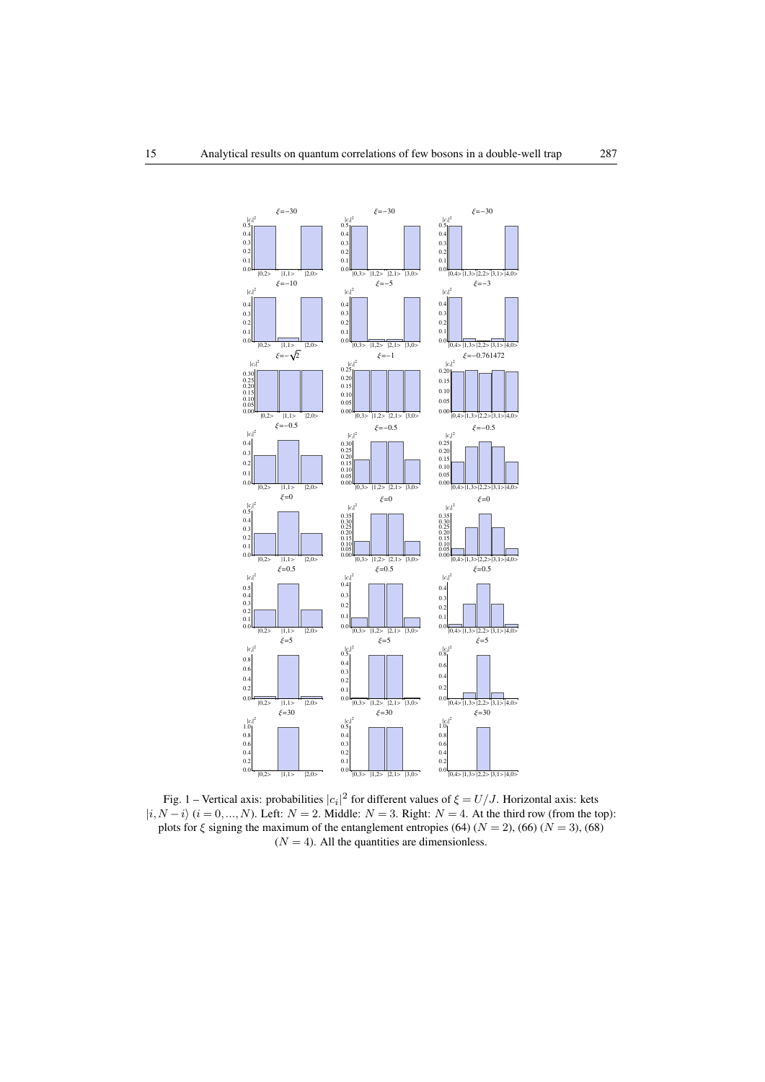

Fig. 1 – Vertical axis: probabilities  $|c_i|^2$  for different values of  $\xi = U/J$ . Horizontal axis: kets  $|i, N-i\rangle$  ( $i = 0, ..., N$ ). Left:  $N = 2$ . Middle:  $N = 3$ . Right:  $N = 4$ . At the third row (from the top): plots for  $\xi$  signing the maximum of the entanglement entropies [\(64\)](#page-16-0) ( $N = 2$ ), [\(66\)](#page-17-0) ( $N = 3$ ), [\(68\)](#page-17-1)  $(N = 4)$ . All the quantities are dimensionless.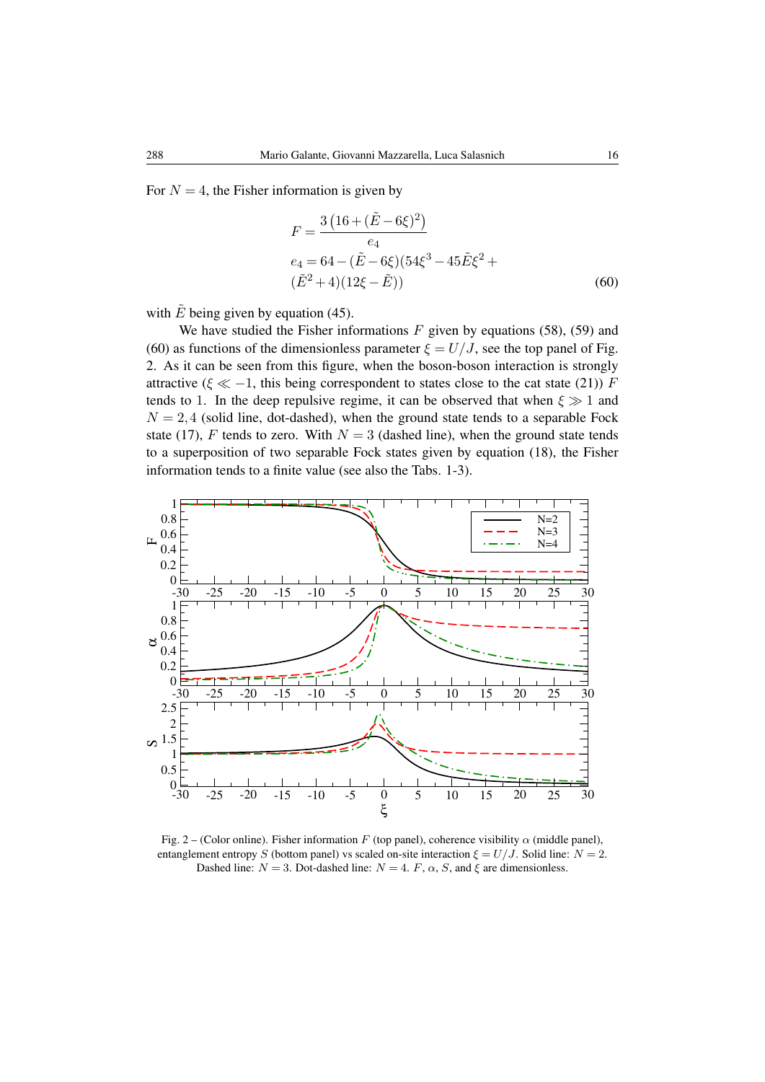For  $N = 4$ , the Fisher information is given by

<span id="page-15-0"></span>
$$
F = \frac{3\left(16 + (\tilde{E} - 6\xi)^2\right)}{e_4}
$$
  
\n
$$
e_4 = 64 - (\tilde{E} - 6\xi)(54\xi^3 - 45\tilde{E}\xi^2 + (\tilde{E}^2 + 4)(12\xi - \tilde{E}))
$$
\n(60)

with  $\tilde{E}$  being given by equation [\(45\)](#page-10-0).

We have studied the Fisher informations  $F$  given by equations [\(58\)](#page-13-0), [\(59\)](#page-13-1) and [\(60\)](#page-15-0) as functions of the dimensionless parameter  $\xi = U/J$ , see the top panel of Fig. 2. As it can be seen from this figure, when the boson-boson interaction is strongly attractive ( $\xi \ll -1$ , this being correspondent to states close to the cat state [\(21\)](#page-5-0)) F tends to 1. In the deep repulsive regime, it can be observed that when  $\xi \gg 1$  and  $N = 2,4$  (solid line, dot-dashed), when the ground state tends to a separable Fock state [\(17\)](#page-5-1), F tends to zero. With  $N = 3$  (dashed line), when the ground state tends to a superposition of two separable Fock states given by equation [\(18\)](#page-5-2), the Fisher information tends to a finite value (see also the Tabs. 1-3).



Fig. 2 – (Color online). Fisher information F (top panel), coherence visibility  $\alpha$  (middle panel), entanglement entropy S (bottom panel) vs scaled on-site interaction  $\xi = U/J$ . Solid line:  $N = 2$ . Dashed line:  $N = 3$ . Dot-dashed line:  $N = 4$ . F,  $\alpha$ , S, and  $\xi$  are dimensionless.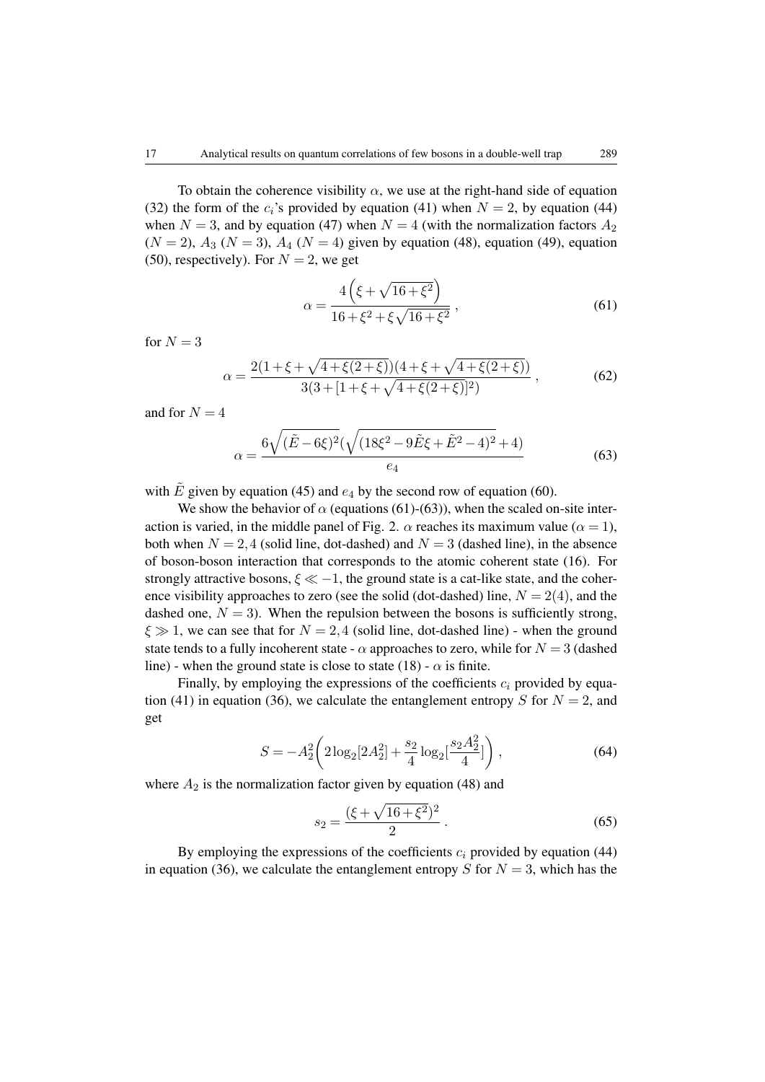To obtain the coherence visibility  $\alpha$ , we use at the right-hand side of equation [\(32\)](#page-7-2) the form of the  $c_i$ 's provided by equation [\(41\)](#page-10-4) when  $N = 2$ , by equation [\(44\)](#page-10-5) when  $N = 3$ , and by equation [\(47\)](#page-11-1) when  $N = 4$  (with the normalization factors  $A_2$  $(N = 2)$ ,  $A_3$   $(N = 3)$ ,  $A_4$   $(N = 4)$  given by equation [\(48\)](#page-11-2), equation [\(49\)](#page-11-3), equation [\(50\)](#page-11-4), respectively). For  $N = 2$ , we get

<span id="page-16-1"></span>
$$
\alpha = \frac{4\left(\xi + \sqrt{16 + \xi^2}\right)}{16 + \xi^2 + \xi\sqrt{16 + \xi^2}},
$$
\n(61)

for  $N = 3$ 

<span id="page-16-3"></span>
$$
\alpha = \frac{2(1+\xi+\sqrt{4+\xi(2+\xi)})(4+\xi+\sqrt{4+\xi(2+\xi)})}{3(3+[1+\xi+\sqrt{4+\xi(2+\xi)}]^2)},
$$
\n(62)

and for  $N = 4$ 

<span id="page-16-2"></span>
$$
\alpha = \frac{6\sqrt{(\tilde{E} - 6\xi)^2}(\sqrt{(18\xi^2 - 9\tilde{E}\xi + \tilde{E}^2 - 4)^2} + 4)}{e_4}
$$
(63)

with  $\tilde{E}$  given by equation [\(45\)](#page-10-0) and  $e_4$  by the second row of equation [\(60\)](#page-15-0).

We show the behavior of  $\alpha$  (equations [\(61\)](#page-16-1)-[\(63\)](#page-16-2)), when the scaled on-site interaction is varied, in the middle panel of Fig. 2.  $\alpha$  reaches its maximum value ( $\alpha = 1$ ), both when  $N = 2,4$  (solid line, dot-dashed) and  $N = 3$  (dashed line), in the absence of boson-boson interaction that corresponds to the atomic coherent state [\(16\)](#page-4-1). For strongly attractive bosons,  $\xi \ll -1$ , the ground state is a cat-like state, and the coherence visibility approaches to zero (see the solid (dot-dashed) line,  $N = 2(4)$ , and the dashed one,  $N = 3$ ). When the repulsion between the bosons is sufficiently strong,  $\xi \gg 1$ , we can see that for  $N = 2,4$  (solid line, dot-dashed line) - when the ground state tends to a fully incoherent state -  $\alpha$  approaches to zero, while for  $N = 3$  (dashed line) - when the ground state is close to state [\(18\)](#page-5-2) -  $\alpha$  is finite.

<span id="page-16-0"></span>Finally, by employing the expressions of the coefficients  $c_i$  provided by equa-tion [\(41\)](#page-10-4) in equation [\(36\)](#page-8-0), we calculate the entanglement entropy S for  $N = 2$ , and get

$$
S = -A_2^2 \left( 2\log_2[2A_2^2] + \frac{s_2}{4}\log_2[\frac{s_2A_2^2}{4}]\right),\tag{64}
$$

where  $A_2$  is the normalization factor given by equation [\(48\)](#page-11-2) and

$$
s_2 = \frac{(\xi + \sqrt{16 + \xi^2})^2}{2} \,. \tag{65}
$$

By employing the expressions of the coefficients  $c_i$  provided by equation [\(44\)](#page-10-5) in equation [\(36\)](#page-8-0), we calculate the entanglement entropy S for  $N = 3$ , which has the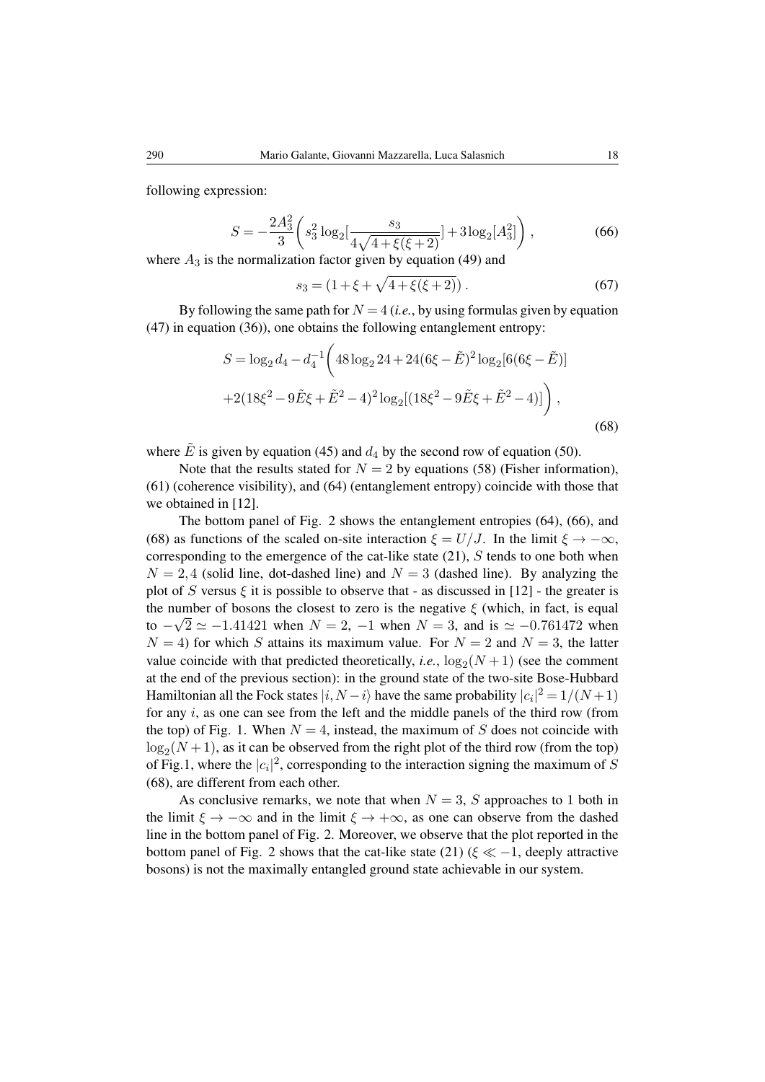<span id="page-17-0"></span>following expression:

$$
S = -\frac{2A_3^2}{3} \left( s_3^2 \log_2 \left[ \frac{s_3}{4\sqrt{4 + \xi(\xi + 2)}} \right] + 3\log_2 \left[ A_3^2 \right] \right),\tag{66}
$$

where  $A_3$  is the normalization factor given by equation [\(49\)](#page-11-3) and

$$
s_3 = (1 + \xi + \sqrt{4 + \xi(\xi + 2)}).
$$
 (67)

By following the same path for  $N = 4$  (*i.e.*, by using formulas given by equation [\(47\)](#page-11-1) in equation [\(36\)](#page-8-0)), one obtains the following entanglement entropy:

<span id="page-17-1"></span>
$$
S = \log_2 d_4 - d_4^{-1} \left( 48 \log_2 24 + 24(6\xi - \tilde{E})^2 \log_2 [6(6\xi - \tilde{E})] + 2(18\xi^2 - 9\tilde{E}\xi + \tilde{E}^2 - 4)^2 \log_2 [(18\xi^2 - 9\tilde{E}\xi + \tilde{E}^2 - 4)] \right),
$$
\n(68)

where  $\hat{E}$  is given by equation [\(45\)](#page-10-0) and  $d_4$  by the second row of equation [\(50\)](#page-11-4).

Note that the results stated for  $N = 2$  by equations [\(58\)](#page-13-0) (Fisher information), [\(61\)](#page-16-1) (coherence visibility), and [\(64\)](#page-16-0) (entanglement entropy) coincide with those that we obtained in [\[12\]](#page-20-4).

The bottom panel of Fig. 2 shows the entanglement entropies [\(64\)](#page-16-0), [\(66\)](#page-17-0), and [\(68\)](#page-17-1) as functions of the scaled on-site interaction  $\xi = U/J$ . In the limit  $\xi \to -\infty$ , corresponding to the emergence of the cat-like state  $(21)$ , S tends to one both when  $N = 2,4$  (solid line, dot-dashed line) and  $N = 3$  (dashed line). By analyzing the plot of S versus  $\xi$  it is possible to observe that - as discussed in [\[12\]](#page-20-4) - the greater is the number of bosons the closest to zero is the negative  $\xi$  (which, in fact, is equal to  $-\sqrt{2} \simeq -1.41421$  when  $N = 2$ ,  $-1$  when  $N = 3$ , and is  $\simeq -0.761472$  when  $N = 4$ ) for which S attains its maximum value. For  $N = 2$  and  $N = 3$ , the latter value coincide with that predicted theoretically, *i.e.*,  $\log_2(N+1)$  (see the comment at the end of the previous section): in the ground state of the two-site Bose-Hubbard Hamiltonian all the Fock states  $|i, N - i\rangle$  have the same probability  $|c_i|^2 = 1/(N+1)$ for any  $i$ , as one can see from the left and the middle panels of the third row (from the top) of Fig. 1. When  $N = 4$ , instead, the maximum of S does not coincide with  $\log_2(N+1)$ , as it can be observed from the right plot of the third row (from the top) of Fig.1, where the  $|c_i|^2$ , corresponding to the interaction signing the maximum of S [\(68\)](#page-17-1), are different from each other.

As conclusive remarks, we note that when  $N = 3$ , S approaches to 1 both in the limit  $\xi \to -\infty$  and in the limit  $\xi \to +\infty$ , as one can observe from the dashed line in the bottom panel of Fig. 2. Moreover, we observe that the plot reported in the bottom panel of Fig. 2 shows that the cat-like state [\(21\)](#page-5-0) ( $\xi \ll -1$ , deeply attractive bosons) is not the maximally entangled ground state achievable in our system.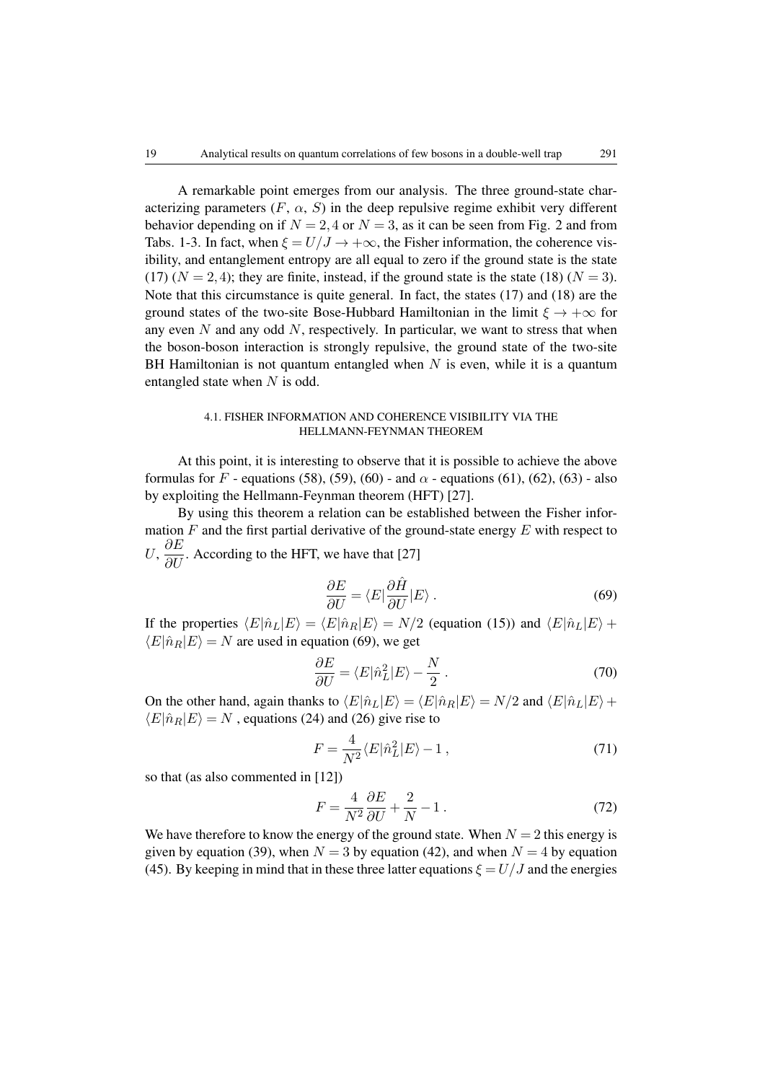A remarkable point emerges from our analysis. The three ground-state characterizing parameters  $(F, \alpha, S)$  in the deep repulsive regime exhibit very different behavior depending on if  $N = 2, 4$  or  $N = 3$ , as it can be seen from Fig. 2 and from Tabs. 1-3. In fact, when  $\xi = U/J \rightarrow +\infty$ , the Fisher information, the coherence visibility, and entanglement entropy are all equal to zero if the ground state is the state [\(17\)](#page-5-1)  $(N = 2, 4)$ ; they are finite, instead, if the ground state is the state [\(18\)](#page-5-2)  $(N = 3)$ . Note that this circumstance is quite general. In fact, the states [\(17\)](#page-5-1) and [\(18\)](#page-5-2) are the ground states of the two-site Bose-Hubbard Hamiltonian in the limit  $\xi \to +\infty$  for any even  $N$  and any odd  $N$ , respectively. In particular, we want to stress that when the boson-boson interaction is strongly repulsive, the ground state of the two-site BH Hamiltonian is not quantum entangled when  $N$  is even, while it is a quantum entangled state when N is odd.

## 4.1. FISHER INFORMATION AND COHERENCE VISIBILITY VIA THE HELLMANN-FEYNMAN THEOREM

At this point, it is interesting to observe that it is possible to achieve the above formulas for F - equations [\(58\)](#page-13-0), [\(59\)](#page-13-1), [\(60\)](#page-15-0) - and  $\alpha$  - equations [\(61\)](#page-16-1), [\(62\)](#page-16-3), [\(63\)](#page-16-2) - also by exploiting the Hellmann-Feynman theorem (HFT) [\[27\]](#page-21-2).

By using this theorem a relation can be established between the Fisher information  $F$  and the first partial derivative of the ground-state energy  $E$  with respect to U,  $\frac{\partial E}{\partial U}$ . According to the HFT, we have that [\[27\]](#page-21-2)

<span id="page-18-0"></span>
$$
\frac{\partial E}{\partial U} = \langle E | \frac{\partial \hat{H}}{\partial U} | E \rangle \,. \tag{69}
$$

If the properties  $\langle E|\hat{n}_L|E\rangle = \langle E|\hat{n}_R|E\rangle = N/2$  (equation [\(15\)](#page-4-0)) and  $\langle E|\hat{n}_L|E\rangle +$  $\langle E|\hat{n}_R|E\rangle = N$  are used in equation [\(69\)](#page-18-0), we get

$$
\frac{\partial E}{\partial U} = \langle E|\hat{n}_L^2|E\rangle - \frac{N}{2} \,. \tag{70}
$$

On the other hand, again thanks to  $\langle E|\hat{n}_L|E \rangle = \langle E|\hat{n}_R|E \rangle = N/2$  and  $\langle E|\hat{n}_L|E \rangle +$  $\langle E|\hat{n}_R|E\rangle = N$ , equations [\(24\)](#page-6-2) and [\(26\)](#page-6-3) give rise to

$$
F = \frac{4}{N^2} \langle E|\hat{n}_L^2|E\rangle - 1 ,\qquad(71)
$$

so that (as also commented in [\[12\]](#page-20-4))

$$
F = \frac{4}{N^2} \frac{\partial E}{\partial U} + \frac{2}{N} - 1 \,. \tag{72}
$$

We have therefore to know the energy of the ground state. When  $N = 2$  this energy is given by equation [\(39\)](#page-10-1), when  $N = 3$  by equation [\(42\)](#page-10-6), and when  $N = 4$  by equation [\(45\)](#page-10-0). By keeping in mind that in these three latter equations  $\xi = U/J$  and the energies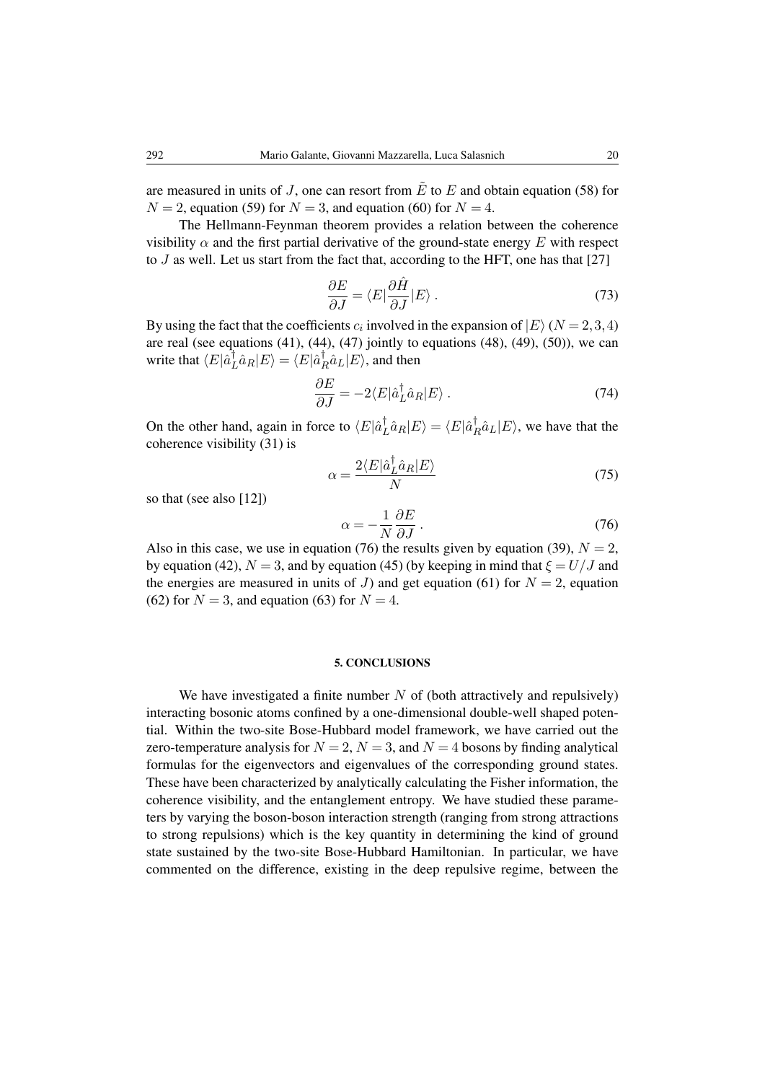are measured in units of J, one can resort from  $\tilde{E}$  to E and obtain equation [\(58\)](#page-13-0) for  $N = 2$ , equation [\(59\)](#page-13-1) for  $N = 3$ , and equation [\(60\)](#page-15-0) for  $N = 4$ .

The Hellmann-Feynman theorem provides a relation between the coherence visibility  $\alpha$  and the first partial derivative of the ground-state energy E with respect to  $J$  as well. Let us start from the fact that, according to the HFT, one has that [\[27\]](#page-21-2)

$$
\frac{\partial E}{\partial J} = \langle E | \frac{\partial \hat{H}}{\partial J} | E \rangle \,. \tag{73}
$$

By using the fact that the coefficients  $c_i$  involved in the expansion of  $|E\rangle$  ( $N = 2,3,4$ ) are real (see equations  $(41)$ ,  $(44)$ ,  $(47)$  jointly to equations  $(48)$ ,  $(49)$ ,  $(50)$ ), we can write that  $\langle E|\hat{a}^{\dagger}_{I}$  $\hat{\bar{L}}\hat{a}_R |E\rangle = \langle E|\hat{a}^{\dagger}_R\rangle$  $R^{\dagger}a_L|E\rangle$ , and then

$$
\frac{\partial E}{\partial J} = -2 \langle E | \hat{a}_L^\dagger \hat{a}_R | E \rangle \,. \tag{74}
$$

On the other hand, again in force to  $\langle E|\hat{a}^{\dagger}_{I}$  $\langle L \rangle^{\dagger}_{L} \hat{a}_{R} | E \rangle = \langle E | \hat{a}^{\dagger}_{R}$  $R^{\dagger}_{R} \hat{a}_{L} |E\rangle$ , we have that the coherence visibility [\(31\)](#page-7-0) is

<span id="page-19-0"></span>
$$
\alpha = \frac{2\langle E|\hat{a}_L^\dagger \hat{a}_R|E\rangle}{N} \tag{75}
$$

so that (see also [\[12\]](#page-20-4))

$$
\alpha = -\frac{1}{N} \frac{\partial E}{\partial J} \,. \tag{76}
$$

Also in this case, we use in equation [\(76\)](#page-19-0) the results given by equation [\(39\)](#page-10-1),  $N = 2$ , by equation [\(42\)](#page-10-6),  $N = 3$ , and by equation [\(45\)](#page-10-0) (by keeping in mind that  $\xi = U/J$  and the energies are measured in units of J) and get equation [\(61\)](#page-16-1) for  $N = 2$ , equation [\(62\)](#page-16-3) for  $N = 3$ , and equation [\(63\)](#page-16-2) for  $N = 4$ .

#### 5. CONCLUSIONS

We have investigated a finite number  $N$  of (both attractively and repulsively) interacting bosonic atoms confined by a one-dimensional double-well shaped potential. Within the two-site Bose-Hubbard model framework, we have carried out the zero-temperature analysis for  $N = 2$ ,  $N = 3$ , and  $N = 4$  bosons by finding analytical formulas for the eigenvectors and eigenvalues of the corresponding ground states. These have been characterized by analytically calculating the Fisher information, the coherence visibility, and the entanglement entropy. We have studied these parameters by varying the boson-boson interaction strength (ranging from strong attractions to strong repulsions) which is the key quantity in determining the kind of ground state sustained by the two-site Bose-Hubbard Hamiltonian. In particular, we have commented on the difference, existing in the deep repulsive regime, between the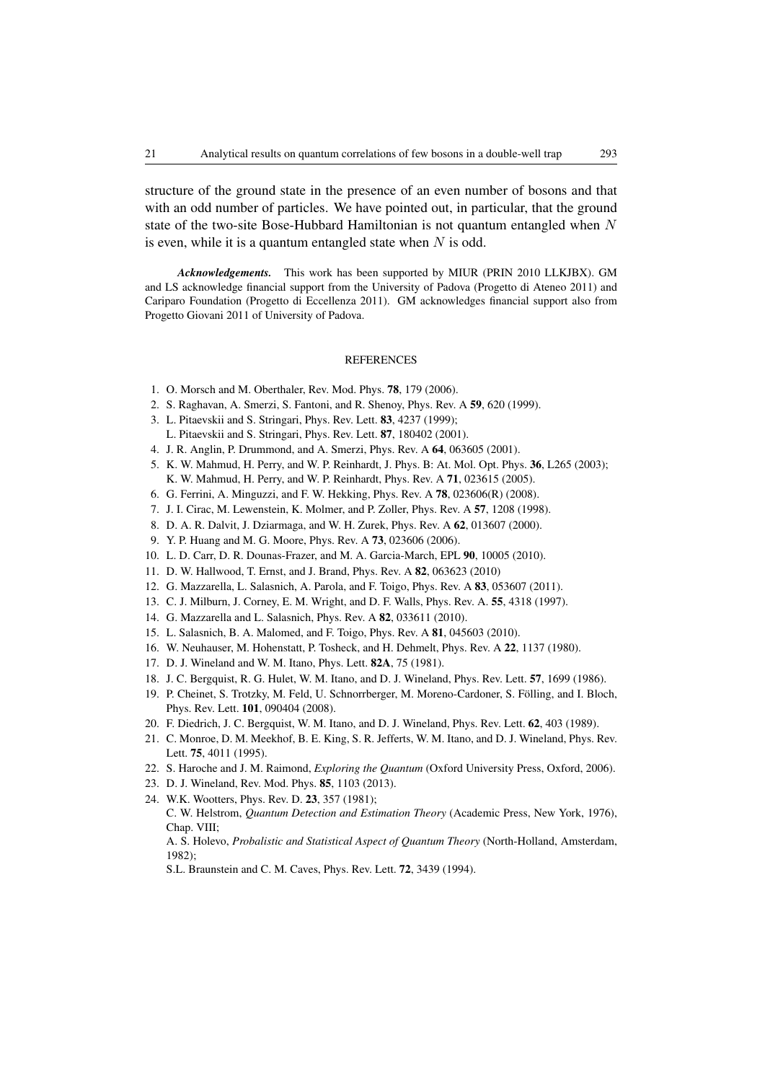structure of the ground state in the presence of an even number of bosons and that with an odd number of particles. We have pointed out, in particular, that the ground state of the two-site Bose-Hubbard Hamiltonian is not quantum entangled when  $N$ is even, while it is a quantum entangled state when  $N$  is odd.

*Acknowledgements.* This work has been supported by MIUR (PRIN 2010 LLKJBX). GM and LS acknowledge financial support from the University of Padova (Progetto di Ateneo 2011) and Cariparo Foundation (Progetto di Eccellenza 2011). GM acknowledges financial support also from Progetto Giovani 2011 of University of Padova.

### REFERENCES

- <span id="page-20-0"></span>1. O. Morsch and M. Oberthaler, Rev. Mod. Phys. 78, 179 (2006).
- <span id="page-20-1"></span>2. S. Raghavan, A. Smerzi, S. Fantoni, and R. Shenoy, Phys. Rev. A 59, 620 (1999).
- <span id="page-20-6"></span>3. L. Pitaevskii and S. Stringari, Phys. Rev. Lett. 83, 4237 (1999);
- L. Pitaevskii and S. Stringari, Phys. Rev. Lett. 87, 180402 (2001).
- <span id="page-20-14"></span>4. J. R. Anglin, P. Drummond, and A. Smerzi, Phys. Rev. A 64, 063605 (2001).
- 5. K. W. Mahmud, H. Perry, and W. P. Reinhardt, J. Phys. B: At. Mol. Opt. Phys. 36, L265 (2003); K. W. Mahmud, H. Perry, and W. P. Reinhardt, Phys. Rev. A 71, 023615 (2005).
- <span id="page-20-2"></span>6. G. Ferrini, A. Minguzzi, and F. W. Hekking, Phys. Rev. A 78, 023606(R) (2008).
- <span id="page-20-3"></span>7. J. I. Cirac, M. Lewenstein, K. Molmer, and P. Zoller, Phys. Rev. A 57, 1208 (1998).
- 8. D. A. R. Dalvit, J. Dziarmaga, and W. H. Zurek, Phys. Rev. A 62, 013607 (2000).
- <span id="page-20-15"></span>9. Y. P. Huang and M. G. Moore, Phys. Rev. A 73, 023606 (2006).
- 10. L. D. Carr, D. R. Dounas-Frazer, and M. A. Garcia-March, EPL 90, 10005 (2010).
- <span id="page-20-7"></span>11. D. W. Hallwood, T. Ernst, and J. Brand, Phys. Rev. A 82, 063623 (2010)
- <span id="page-20-4"></span>12. G. Mazzarella, L. Salasnich, A. Parola, and F. Toigo, Phys. Rev. A 83, 053607 (2011).
- <span id="page-20-5"></span>13. C. J. Milburn, J. Corney, E. M. Wright, and D. F. Walls, Phys. Rev. A. 55, 4318 (1997).
- <span id="page-20-8"></span>14. G. Mazzarella and L. Salasnich, Phys. Rev. A 82, 033611 (2010).
- <span id="page-20-9"></span>15. L. Salasnich, B. A. Malomed, and F. Toigo, Phys. Rev. A 81, 045603 (2010).
- <span id="page-20-10"></span>16. W. Neuhauser, M. Hohenstatt, P. Tosheck, and H. Dehmelt, Phys. Rev. A 22, 1137 (1980).
- 17. D. J. Wineland and W. M. Itano, Phys. Lett. 82A, 75 (1981).
- 18. J. C. Bergquist, R. G. Hulet, W. M. Itano, and D. J. Wineland, Phys. Rev. Lett. 57, 1699 (1986).
- <span id="page-20-11"></span>19. P. Cheinet, S. Trotzky, M. Feld, U. Schnorrberger, M. Moreno-Cardoner, S. Folling, and I. Bloch, ¨ Phys. Rev. Lett. 101, 090404 (2008).
- 20. F. Diedrich, J. C. Bergquist, W. M. Itano, and D. J. Wineland, Phys. Rev. Lett. 62, 403 (1989).
- 21. C. Monroe, D. M. Meekhof, B. E. King, S. R. Jefferts, W. M. Itano, and D. J. Wineland, Phys. Rev. Lett. 75, 4011 (1995).
- 22. S. Haroche and J. M. Raimond, *Exploring the Quantum* (Oxford University Press, Oxford, 2006).
- <span id="page-20-12"></span>23. D. J. Wineland, Rev. Mod. Phys. 85, 1103 (2013).
- <span id="page-20-13"></span>24. W.K. Wootters, Phys. Rev. D. 23, 357 (1981);

C. W. Helstrom, *Quantum Detection and Estimation Theory* (Academic Press, New York, 1976), Chap. VIII;

A. S. Holevo, *Probalistic and Statistical Aspect of Quantum Theory* (North-Holland, Amsterdam,  $1982$ 

S.L. Braunstein and C. M. Caves, Phys. Rev. Lett. 72, 3439 (1994).